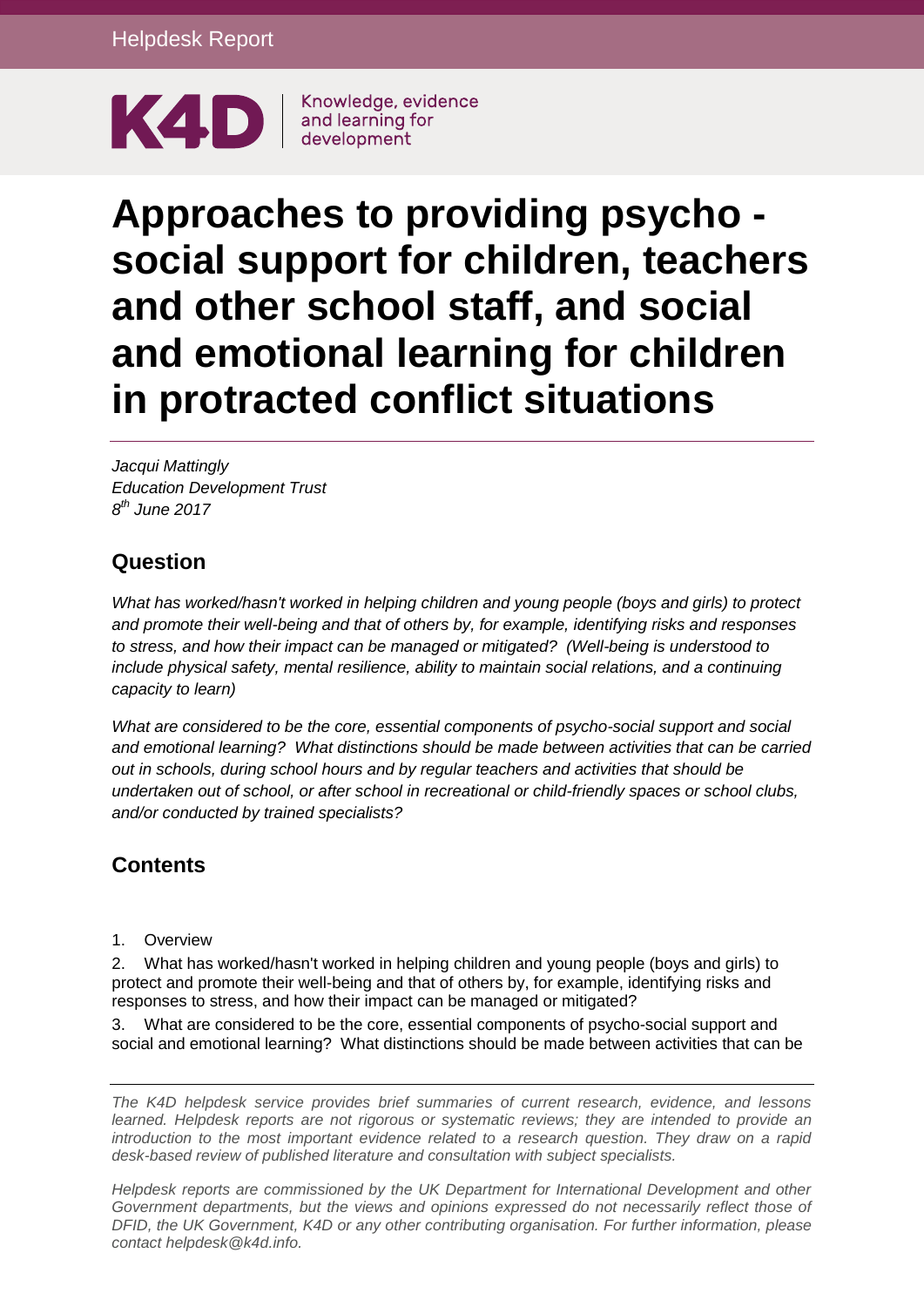

# **Approaches to providing psycho social support for children, teachers and other school staff, and social and emotional learning for children in protracted conflict situations**

*Jacqui Mattingly Education Development Trust 8 th June 2017*

## **Question**

*What has worked/hasn't worked in helping children and young people (boys and girls) to protect and promote their well-being and that of others by, for example, identifying risks and responses to stress, and how their impact can be managed or mitigated? (Well-being is understood to include physical safety, mental resilience, ability to maintain social relations, and a continuing capacity to learn)*

*What are considered to be the core, essential components of psycho-social support and social and emotional learning? What distinctions should be made between activities that can be carried out in schools, during school hours and by regular teachers and activities that should be undertaken out of school, or after school in recreational or child-friendly spaces or school clubs, and/or conducted by trained specialists?* 

## **Contents**

1. [Overview](#page-1-0)

2. [What has worked/hasn't worked in helping children and young people \(boys and girls\) to](#page-2-0)  [protect and promote their well-being and that of others by, for example, identifying risks and](#page-2-0)  [responses to stress, and how their impact can be managed or mitigated?](#page-2-0)

3. [What are considered to be the core, essential components of psycho-social support and](#page-13-0)  [social and emotional learning? What distinctions should be made between activities that can be](#page-13-0) 

*The K4D helpdesk service provides brief summaries of current research, evidence, and lessons learned. Helpdesk reports are not rigorous or systematic reviews; they are intended to provide an introduction to the most important evidence related to a research question. They draw on a rapid desk-based review of published literature and consultation with subject specialists.* 

*Helpdesk reports are commissioned by the UK Department for International Development and other*  Government departments, but the views and opinions expressed do not necessarily reflect those of *DFID, the UK Government, K4D or any other contributing organisation. For further information, please contact helpdesk@k4d.info.*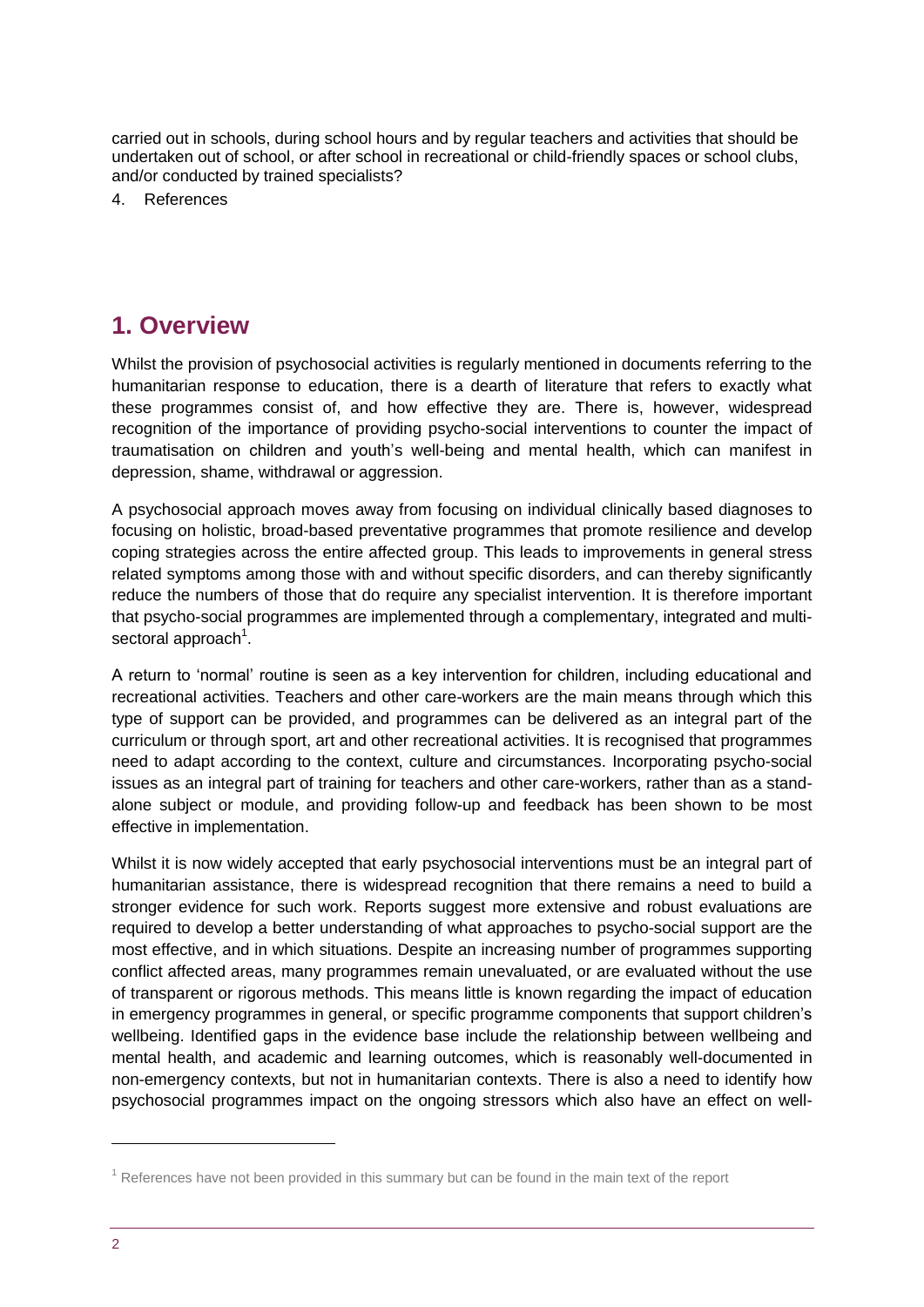[carried out in schools, during school hours and by regular teachers and activities that should be](#page-13-0)  [undertaken out of school, or after school in recreational or child-friendly spaces or school clubs,](#page-13-0)  [and/or conducted by trained specialists?](#page-13-0)

4. [References](#page-15-0)

# <span id="page-1-0"></span>**1. Overview**

Whilst the provision of psychosocial activities is regularly mentioned in documents referring to the humanitarian response to education, there is a dearth of literature that refers to exactly what these programmes consist of, and how effective they are. There is, however, widespread recognition of the importance of providing psycho-social interventions to counter the impact of traumatisation on children and youth's well-being and mental health, which can manifest in depression, shame, withdrawal or aggression.

A psychosocial approach moves away from focusing on individual clinically based diagnoses to focusing on holistic, broad-based preventative programmes that promote resilience and develop coping strategies across the entire affected group. This leads to improvements in general stress related symptoms among those with and without specific disorders, and can thereby significantly reduce the numbers of those that do require any specialist intervention. It is therefore important that psycho-social programmes are implemented through a complementary, integrated and multisectoral approach<sup>1</sup>.

A return to 'normal' routine is seen as a key intervention for children, including educational and recreational activities. Teachers and other care-workers are the main means through which this type of support can be provided, and programmes can be delivered as an integral part of the curriculum or through sport, art and other recreational activities. It is recognised that programmes need to adapt according to the context, culture and circumstances. Incorporating psycho-social issues as an integral part of training for teachers and other care-workers, rather than as a standalone subject or module, and providing follow-up and feedback has been shown to be most effective in implementation.

Whilst it is now widely accepted that early psychosocial interventions must be an integral part of humanitarian assistance, there is widespread recognition that there remains a need to build a stronger evidence for such work. Reports suggest more extensive and robust evaluations are required to develop a better understanding of what approaches to psycho-social support are the most effective, and in which situations. Despite an increasing number of programmes supporting conflict affected areas, many programmes remain unevaluated, or are evaluated without the use of transparent or rigorous methods. This means little is known regarding the impact of education in emergency programmes in general, or specific programme components that support children's wellbeing. Identified gaps in the evidence base include the relationship between wellbeing and mental health, and academic and learning outcomes, which is reasonably well-documented in non-emergency contexts, but not in humanitarian contexts. There is also a need to identify how psychosocial programmes impact on the ongoing stressors which also have an effect on well-

1

 $<sup>1</sup>$  References have not been provided in this summary but can be found in the main text of the report</sup>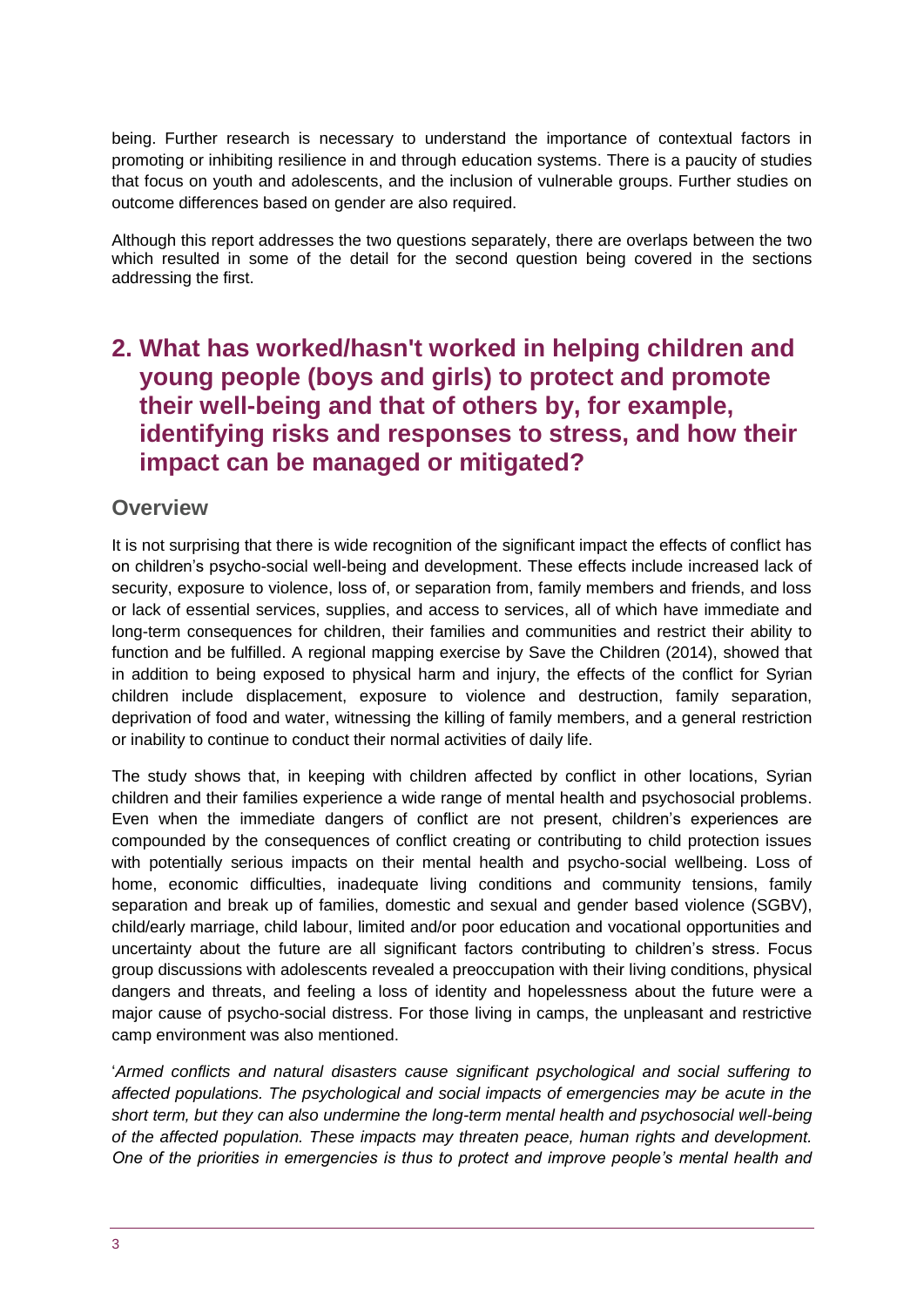being. Further research is necessary to understand the importance of contextual factors in promoting or inhibiting resilience in and through education systems. There is a paucity of studies that focus on youth and adolescents, and the inclusion of vulnerable groups. Further studies on outcome differences based on gender are also required.

Although this report addresses the two questions separately, there are overlaps between the two which resulted in some of the detail for the second question being covered in the sections addressing the first.

# <span id="page-2-0"></span>**2. What has worked/hasn't worked in helping children and young people (boys and girls) to protect and promote their well-being and that of others by, for example, identifying risks and responses to stress, and how their impact can be managed or mitigated?**

#### **Overview**

It is not surprising that there is wide recognition of the significant impact the effects of conflict has on children's psycho-social well-being and development. These effects include increased lack of security, exposure to violence, loss of, or separation from, family members and friends, and loss or lack of essential services, supplies, and access to services, all of which have immediate and long-term consequences for children, their families and communities and restrict their ability to function and be fulfilled. A regional mapping exercise by Save the Children (2014), showed that in addition to being exposed to physical harm and injury, the effects of the conflict for Syrian children include displacement, exposure to violence and destruction, family separation, deprivation of food and water, witnessing the killing of family members, and a general restriction or inability to continue to conduct their normal activities of daily life.

The study shows that, in keeping with children affected by conflict in other locations, Syrian children and their families experience a wide range of mental health and psychosocial problems. Even when the immediate dangers of conflict are not present, children's experiences are compounded by the consequences of conflict creating or contributing to child protection issues with potentially serious impacts on their mental health and psycho-social wellbeing. Loss of home, economic difficulties, inadequate living conditions and community tensions, family separation and break up of families, domestic and sexual and gender based violence (SGBV), child/early marriage, child labour, limited and/or poor education and vocational opportunities and uncertainty about the future are all significant factors contributing to children's stress. Focus group discussions with adolescents revealed a preoccupation with their living conditions, physical dangers and threats, and feeling a loss of identity and hopelessness about the future were a major cause of psycho-social distress. For those living in camps, the unpleasant and restrictive camp environment was also mentioned.

'*Armed conflicts and natural disasters cause significant psychological and social suffering to affected populations. The psychological and social impacts of emergencies may be acute in the short term, but they can also undermine the long-term mental health and psychosocial well-being of the affected population. These impacts may threaten peace, human rights and development. One of the priorities in emergencies is thus to protect and improve people's mental health and*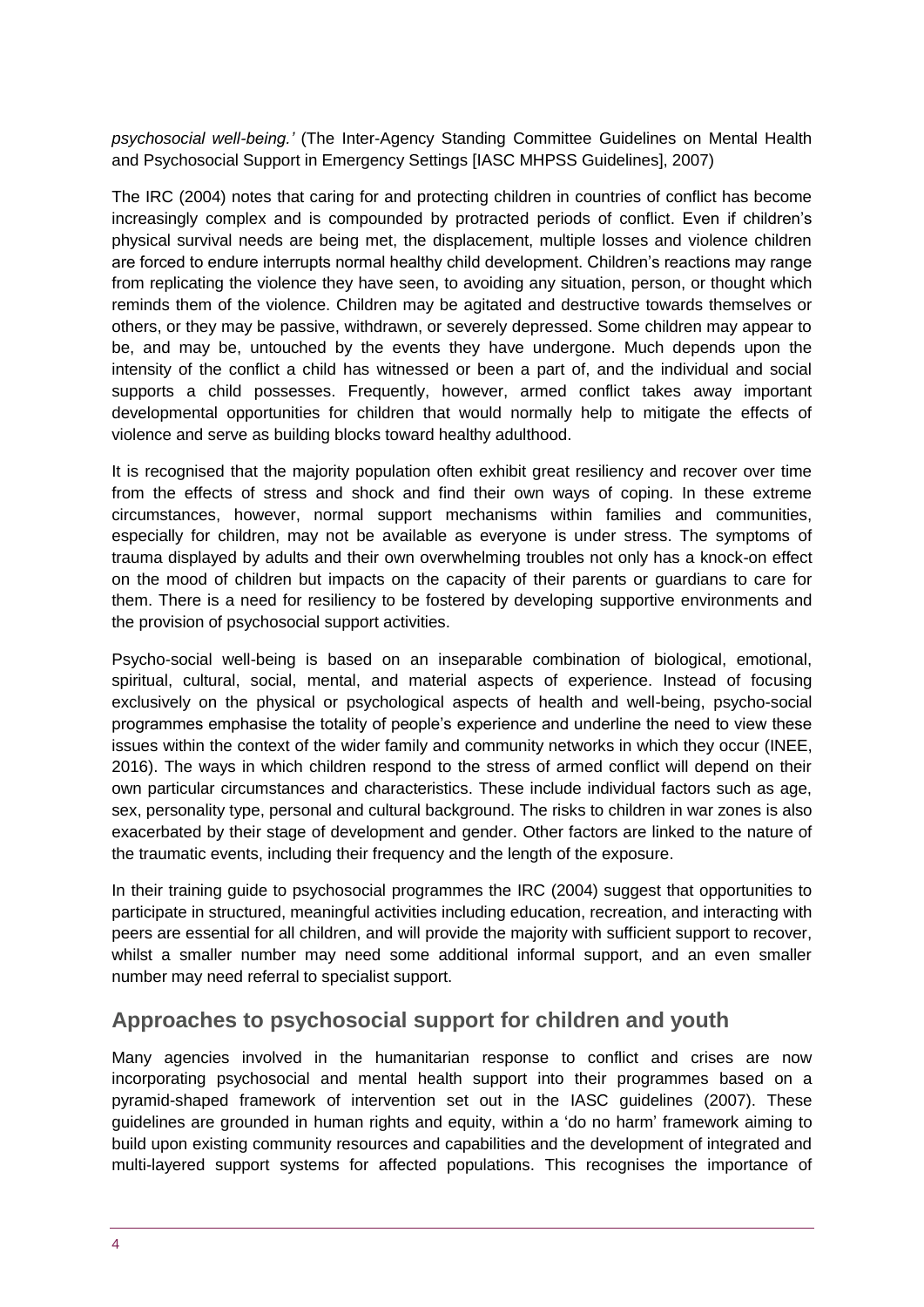*psychosocial well-being.'* (The Inter-Agency Standing Committee Guidelines on Mental Health and Psychosocial Support in Emergency Settings [IASC MHPSS Guidelines], 2007)

The IRC (2004) notes that caring for and protecting children in countries of conflict has become increasingly complex and is compounded by protracted periods of conflict. Even if children's physical survival needs are being met, the displacement, multiple losses and violence children are forced to endure interrupts normal healthy child development. Children's reactions may range from replicating the violence they have seen, to avoiding any situation, person, or thought which reminds them of the violence. Children may be agitated and destructive towards themselves or others, or they may be passive, withdrawn, or severely depressed. Some children may appear to be, and may be, untouched by the events they have undergone. Much depends upon the intensity of the conflict a child has witnessed or been a part of, and the individual and social supports a child possesses. Frequently, however, armed conflict takes away important developmental opportunities for children that would normally help to mitigate the effects of violence and serve as building blocks toward healthy adulthood.

It is recognised that the majority population often exhibit great resiliency and recover over time from the effects of stress and shock and find their own ways of coping. In these extreme circumstances, however, normal support mechanisms within families and communities, especially for children, may not be available as everyone is under stress. The symptoms of trauma displayed by adults and their own overwhelming troubles not only has a knock-on effect on the mood of children but impacts on the capacity of their parents or guardians to care for them. There is a need for resiliency to be fostered by developing supportive environments and the provision of psychosocial support activities.

Psycho-social well-being is based on an inseparable combination of biological, emotional, spiritual, cultural, social, mental, and material aspects of experience. Instead of focusing exclusively on the physical or psychological aspects of health and well-being, psycho-social programmes emphasise the totality of people's experience and underline the need to view these issues within the context of the wider family and community networks in which they occur (INEE, 2016). The ways in which children respond to the stress of armed conflict will depend on their own particular circumstances and characteristics. These include individual factors such as age, sex, personality type, personal and cultural background. The risks to children in war zones is also exacerbated by their stage of development and gender. Other factors are linked to the nature of the traumatic events, including their frequency and the length of the exposure.

In their training guide to psychosocial programmes the IRC (2004) suggest that opportunities to participate in structured, meaningful activities including education, recreation, and interacting with peers are essential for all children, and will provide the majority with sufficient support to recover, whilst a smaller number may need some additional informal support, and an even smaller number may need referral to specialist support.

## **Approaches to psychosocial support for children and youth**

Many agencies involved in the humanitarian response to conflict and crises are now incorporating psychosocial and mental health support into their programmes based on a pyramid-shaped framework of intervention set out in the IASC guidelines (2007). These guidelines are grounded in human rights and equity, within a 'do no harm' framework aiming to build upon existing community resources and capabilities and the development of integrated and multi-layered support systems for affected populations. This recognises the importance of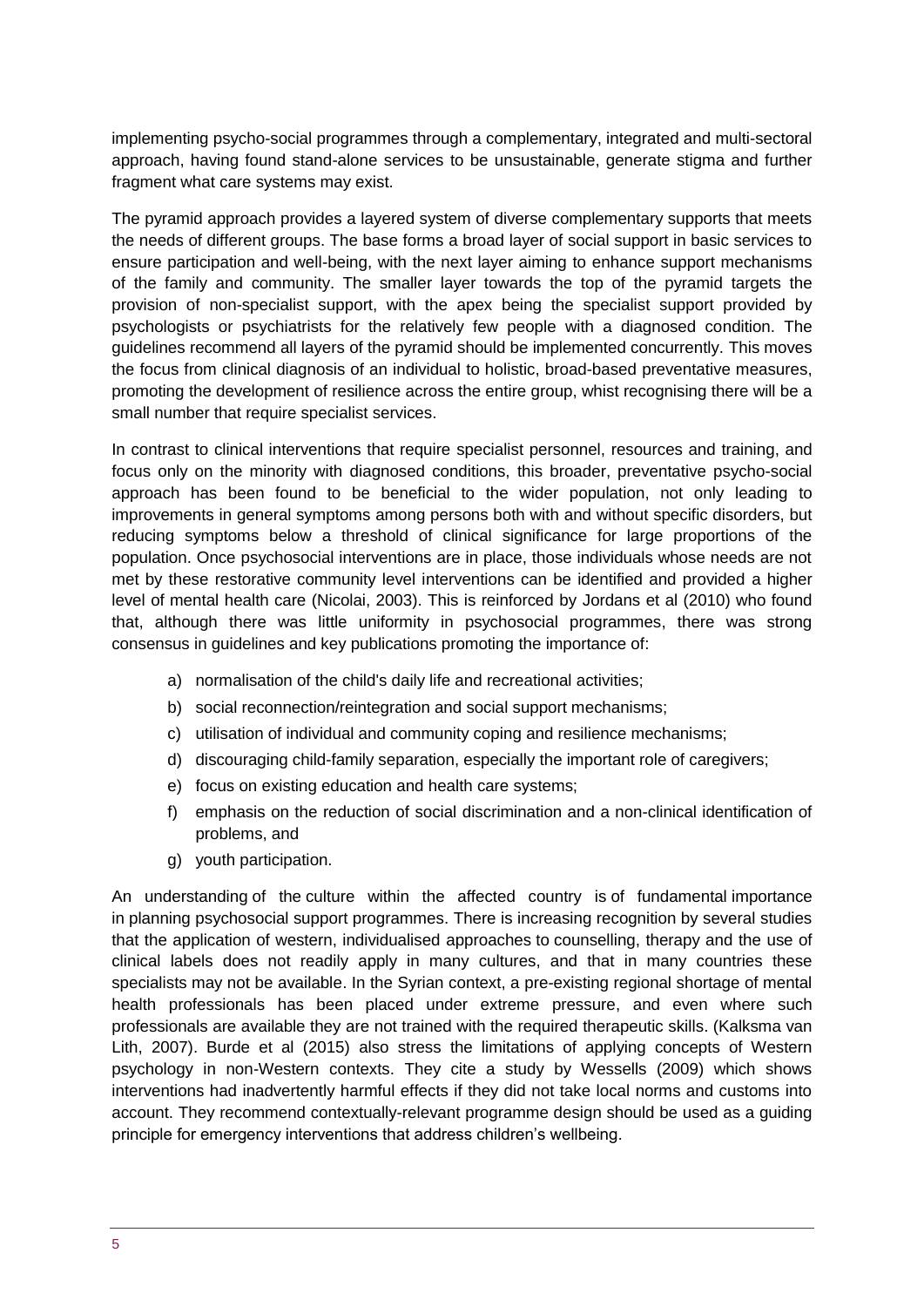implementing psycho-social programmes through a complementary, integrated and multi-sectoral approach, having found stand-alone services to be unsustainable, generate stigma and further fragment what care systems may exist.

The pyramid approach provides a layered system of diverse complementary supports that meets the needs of different groups. The base forms a broad layer of social support in basic services to ensure participation and well-being, with the next layer aiming to enhance support mechanisms of the family and community. The smaller layer towards the top of the pyramid targets the provision of non-specialist support, with the apex being the specialist support provided by psychologists or psychiatrists for the relatively few people with a diagnosed condition. The guidelines recommend all layers of the pyramid should be implemented concurrently. This moves the focus from clinical diagnosis of an individual to holistic, broad-based preventative measures, promoting the development of resilience across the entire group, whist recognising there will be a small number that require specialist services.

In contrast to clinical interventions that require specialist personnel, resources and training, and focus only on the minority with diagnosed conditions, this broader, preventative psycho-social approach has been found to be beneficial to the wider population, not only leading to improvements in general symptoms among persons both with and without specific disorders, but reducing symptoms below a threshold of clinical significance for large proportions of the population. Once psychosocial interventions are in place, those individuals whose needs are not met by these restorative community level interventions can be identified and provided a higher level of mental health care (Nicolai, 2003). This is reinforced by Jordans et al (2010) who found that, although there was little uniformity in psychosocial programmes, there was strong consensus in guidelines and key publications promoting the importance of:

- a) normalisation of the child's daily life and recreational activities;
- b) social reconnection/reintegration and social support mechanisms;
- c) utilisation of individual and community coping and resilience mechanisms;
- d) discouraging child-family separation, especially the important role of caregivers;
- e) focus on existing education and health care systems;
- f) emphasis on the reduction of social discrimination and a non-clinical identification of problems, and
- g) youth participation.

An understanding of the culture within the affected country is of fundamental importance in planning psychosocial support programmes. There is increasing recognition by several studies that the application of western, individualised approaches to counselling, therapy and the use of clinical labels does not readily apply in many cultures, and that in many countries these specialists may not be available. In the Syrian context, a pre-existing regional shortage of mental health professionals has been placed under extreme pressure, and even where such professionals are available they are not trained with the required therapeutic skills. [\(Kalksma van](https://www.ncbi.nlm.nih.gov/pmc/articles/PMC2789493/#R21)  [Lith, 2007](https://www.ncbi.nlm.nih.gov/pmc/articles/PMC2789493/#R21)). Burde et al (2015) also stress the limitations of applying concepts of Western psychology in non-Western contexts. They cite a study by Wessells (2009) which shows interventions had inadvertently harmful effects if they did not take local norms and customs into account. They recommend contextually-relevant programme design should be used as a guiding principle for emergency interventions that address children's wellbeing.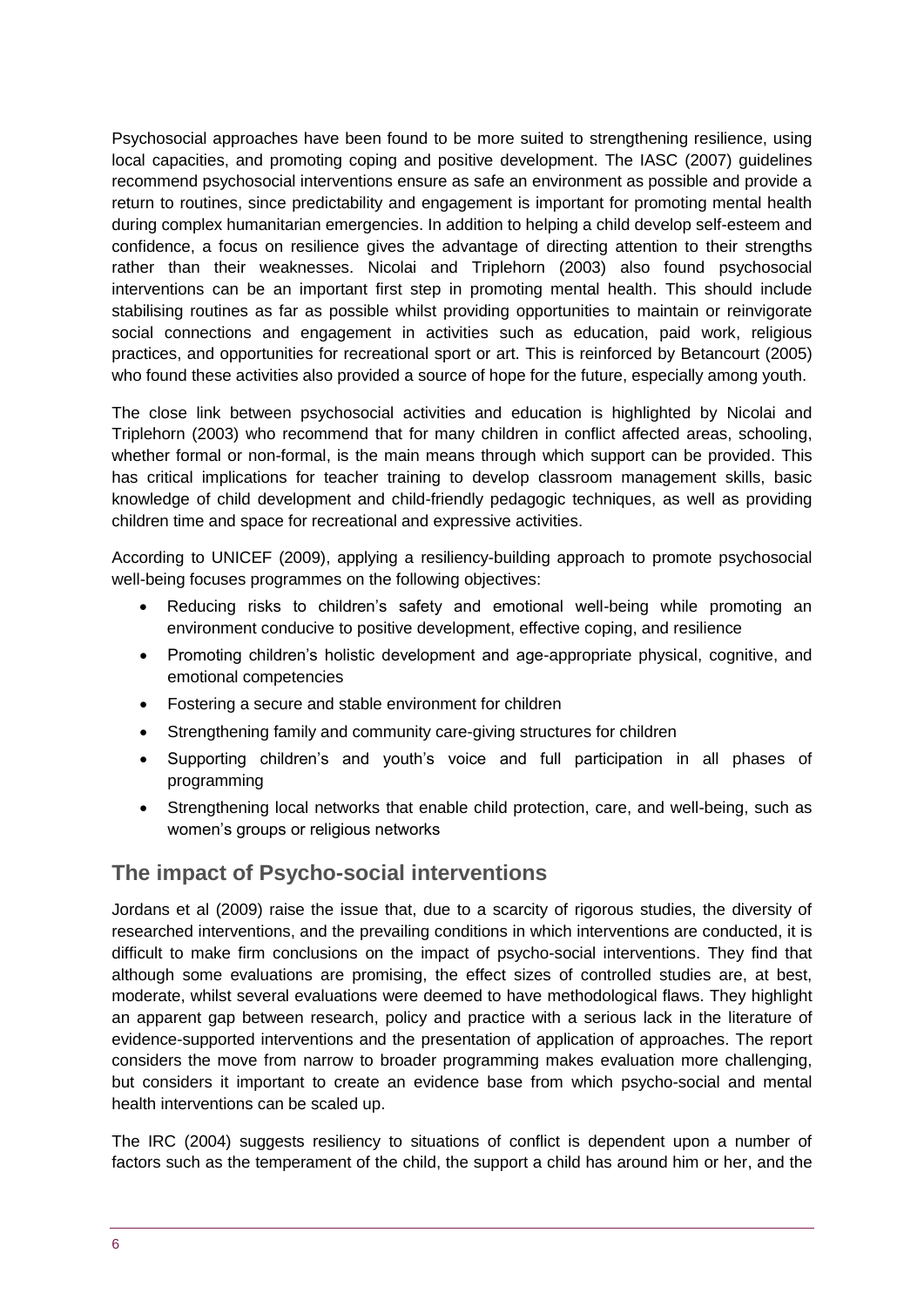Psychosocial approaches have been found to be more suited to strengthening resilience, using local capacities, and promoting coping and positive development. The IASC (2007) guidelines recommend psychosocial interventions ensure as safe an environment as possible and provide a return to routines, since predictability and engagement is important for promoting mental health during complex humanitarian emergencies. In addition to helping a child develop self-esteem and confidence, a focus on resilience gives the advantage of directing attention to their strengths rather than their weaknesses. Nicolai and Triplehorn (2003) also found psychosocial interventions can be an important first step in promoting mental health. This should include stabilising routines as far as possible whilst providing opportunities to maintain or reinvigorate social connections and engagement in activities such as education, paid work, religious practices, and opportunities for recreational sport or art. This is reinforced by [Betancourt \(2005\)](https://www.ncbi.nlm.nih.gov/pmc/articles/PMC2789493/#R7) who found these activities also provided a source of hope for the future, especially among youth.

The close link between psychosocial activities and education is highlighted by Nicolai and Triplehorn (2003) who recommend that for many children in conflict affected areas, schooling, whether formal or non-formal, is the main means through which support can be provided. This has critical implications for teacher training to develop classroom management skills, basic knowledge of child development and child-friendly pedagogic techniques, as well as providing children time and space for recreational and expressive activities.

According to UNICEF (2009), applying a resiliency-building approach to promote psychosocial well-being focuses programmes on the following objectives:

- Reducing risks to children's safety and emotional well-being while promoting an environment conducive to positive development, effective coping, and resilience
- Promoting children's holistic development and age-appropriate physical, cognitive, and emotional competencies
- Fostering a secure and stable environment for children
- Strengthening family and community care-giving structures for children
- Supporting children's and youth's voice and full participation in all phases of programming
- Strengthening local networks that enable child protection, care, and well-being, such as women's groups or religious networks

## **The impact of Psycho-social interventions**

Jordans et al (2009) raise the issue that, due to a scarcity of rigorous studies, the diversity of researched interventions, and the prevailing conditions in which interventions are conducted, it is difficult to make firm conclusions on the impact of psycho-social interventions. They find that although some evaluations are promising, the effect sizes of controlled studies are, at best, moderate, whilst several evaluations were deemed to have methodological flaws. They highlight an apparent gap between research, policy and practice with a serious lack in the literature of evidence-supported interventions and the presentation of application of approaches. The report considers the move from narrow to broader programming makes evaluation more challenging, but considers it important to create an evidence base from which psycho-social and mental health interventions can be scaled up.

The IRC (2004) suggests resiliency to situations of conflict is dependent upon a number of factors such as the temperament of the child, the support a child has around him or her, and the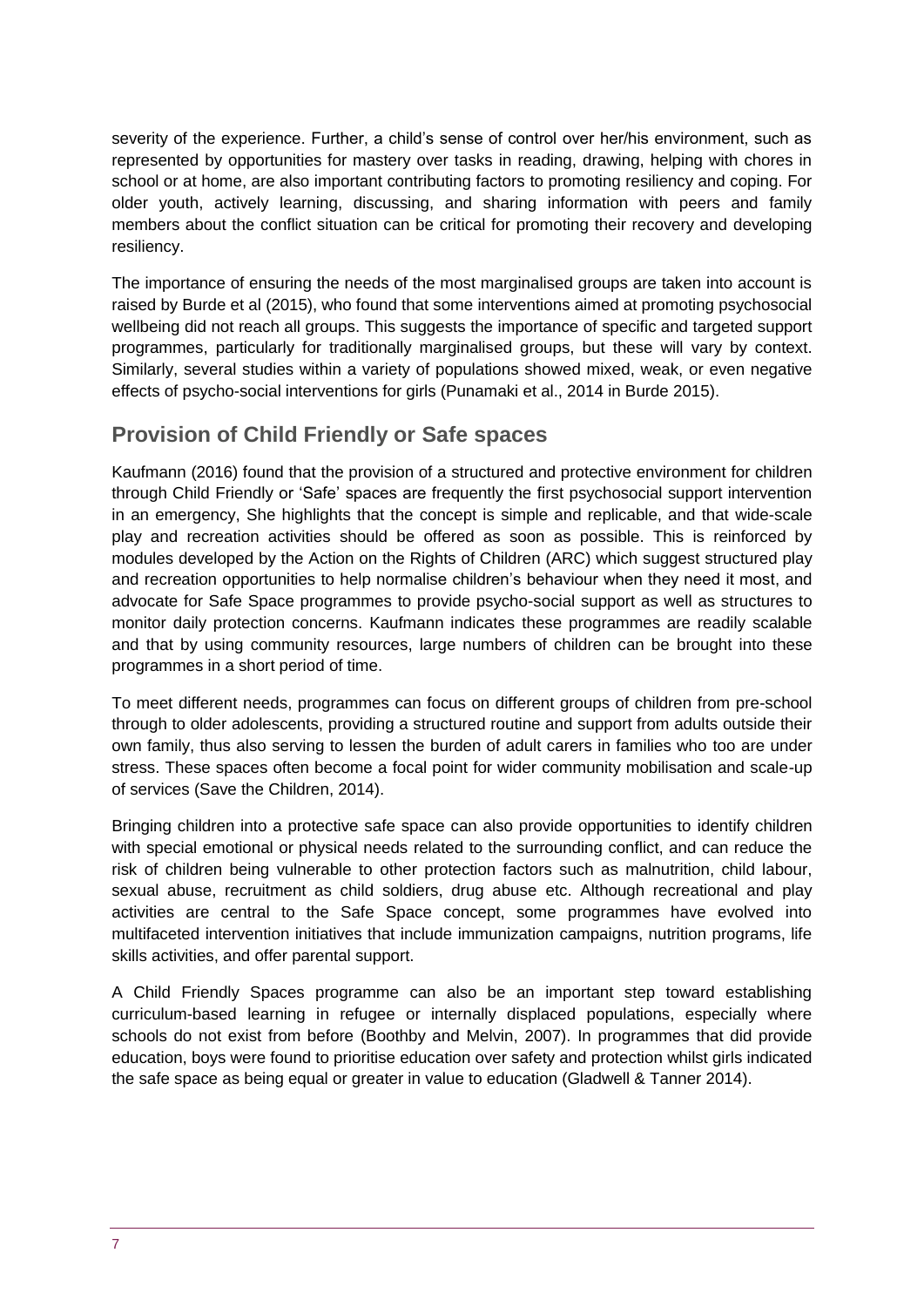severity of the experience. Further, a child's sense of control over her/his environment, such as represented by opportunities for mastery over tasks in reading, drawing, helping with chores in school or at home, are also important contributing factors to promoting resiliency and coping. For older youth, actively learning, discussing, and sharing information with peers and family members about the conflict situation can be critical for promoting their recovery and developing resiliency.

The importance of ensuring the needs of the most marginalised groups are taken into account is raised by Burde et al (2015), who found that some interventions aimed at promoting psychosocial wellbeing did not reach all groups. This suggests the importance of specific and targeted support programmes, particularly for traditionally marginalised groups, but these will vary by context. Similarly, several studies within a variety of populations showed mixed, weak, or even negative effects of psycho-social interventions for girls (Punamaki et al., 2014 in Burde 2015).

## **Provision of Child Friendly or Safe spaces**

Kaufmann (2016) found that the provision of a structured and protective environment for children through Child Friendly or 'Safe' spaces are frequently the first psychosocial support intervention in an emergency, She highlights that the concept is simple and replicable, and that wide-scale play and recreation activities should be offered as soon as possible. This is reinforced by modules developed by the Action on the Rights of Children (ARC) which suggest structured play and recreation opportunities to help normalise children's behaviour when they need it most, and advocate for Safe Space programmes to provide psycho-social support as well as structures to monitor daily protection concerns. Kaufmann indicates these programmes are readily scalable and that by using community resources, large numbers of children can be brought into these programmes in a short period of time.

To meet different needs, programmes can focus on different groups of children from pre-school through to older adolescents, providing a structured routine and support from adults outside their own family, thus also serving to lessen the burden of adult carers in families who too are under stress. These spaces often become a focal point for wider community mobilisation and scale-up of services (Save the Children, 2014).

Bringing children into a protective safe space can also provide opportunities to identify children with special emotional or physical needs related to the surrounding conflict, and can reduce the risk of children being vulnerable to other protection factors such as malnutrition, child labour, sexual abuse, recruitment as child soldiers, drug abuse etc. Although recreational and play activities are central to the Safe Space concept, some programmes have evolved into multifaceted intervention initiatives that include immunization campaigns, nutrition programs, life skills activities, and offer parental support.

A Child Friendly Spaces programme can also be an important step toward establishing curriculum-based learning in refugee or internally displaced populations, especially where schools do not exist from before (Boothby and Melvin, 2007). In programmes that did provide education, boys were found to prioritise education over safety and protection whilst girls indicated the safe space as being equal or greater in value to education (Gladwell & Tanner 2014).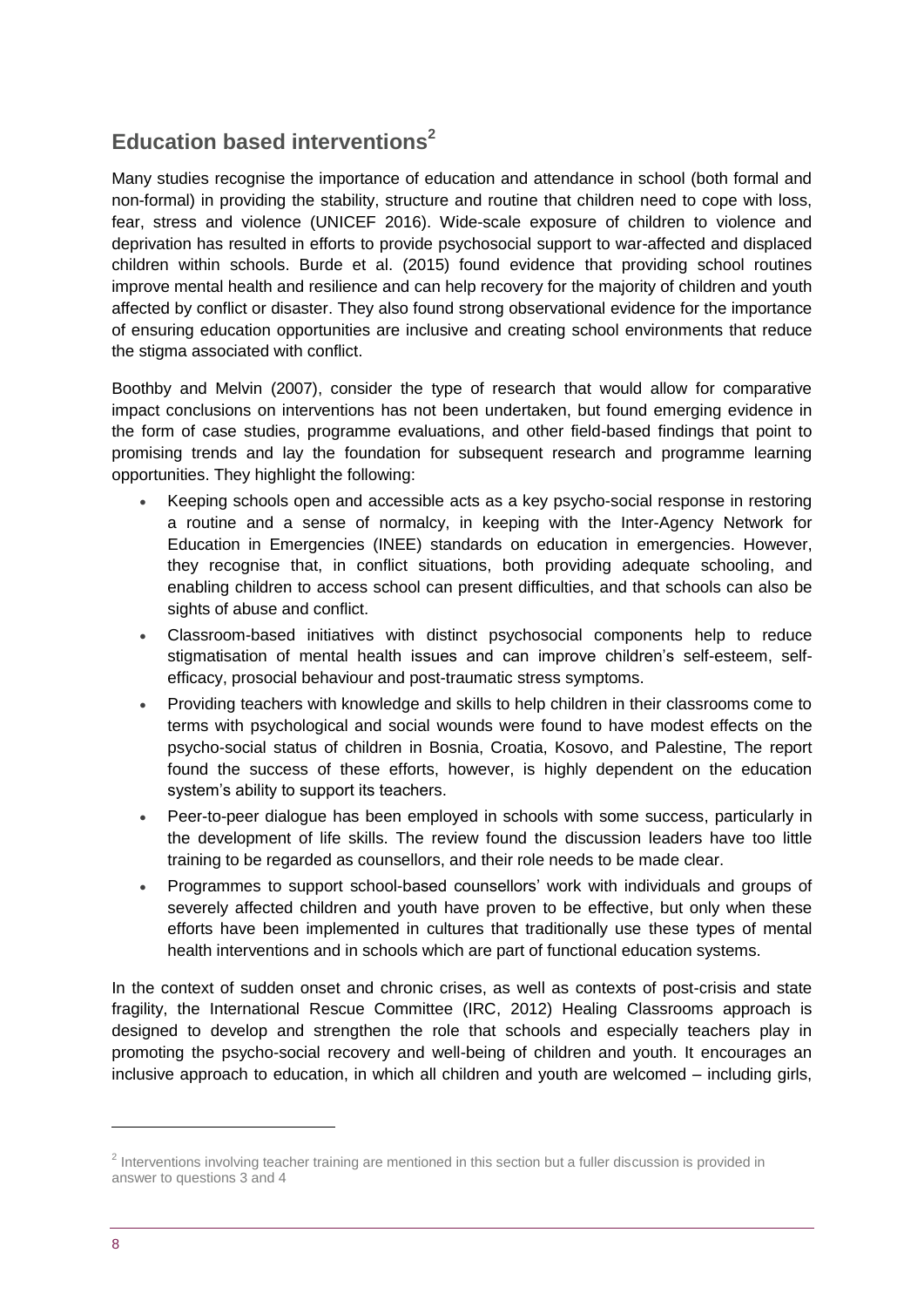## **Education based interventions<sup>2</sup>**

Many studies recognise the importance of education and attendance in school (both formal and non-formal) in providing the stability, structure and routine that children need to cope with loss, fear, stress and violence (UNICEF 2016). Wide-scale exposure of children to violence and deprivation has resulted in efforts to provide psychosocial support to war-affected and displaced children within schools. Burde et al. (2015) found evidence that providing school routines improve mental health and resilience and can help recovery for the majority of children and youth affected by conflict or disaster. They also found strong observational evidence for the importance of ensuring education opportunities are inclusive and creating school environments that reduce the stigma associated with conflict.

Boothby and Melvin (2007), consider the type of research that would allow for comparative impact conclusions on interventions has not been undertaken, but found emerging evidence in the form of case studies, programme evaluations, and other field-based findings that point to promising trends and lay the foundation for subsequent research and programme learning opportunities. They highlight the following:

- Keeping schools open and accessible acts as a key psycho-social response in restoring a routine and a sense of normalcy, in keeping with the Inter-Agency Network for Education in Emergencies (INEE) standards on education in emergencies. However, they recognise that, in conflict situations, both providing adequate schooling, and enabling children to access school can present difficulties, and that schools can also be sights of abuse and conflict.
- Classroom-based initiatives with distinct psychosocial components help to reduce stigmatisation of mental health issues and can improve children's self-esteem, selfefficacy, prosocial behaviour and post-traumatic stress symptoms.
- Providing teachers with knowledge and skills to help children in their classrooms come to terms with psychological and social wounds were found to have modest effects on the psycho-social status of children in Bosnia, Croatia, Kosovo, and Palestine, The report found the success of these efforts, however, is highly dependent on the education system's ability to support its teachers.
- Peer-to-peer dialogue has been employed in schools with some success, particularly in the development of life skills. The review found the discussion leaders have too little training to be regarded as counsellors, and their role needs to be made clear.
- Programmes to support school-based counsellors' work with individuals and groups of severely affected children and youth have proven to be effective, but only when these efforts have been implemented in cultures that traditionally use these types of mental health interventions and in schools which are part of functional education systems.

In the context of sudden onset and chronic crises, as well as contexts of post-crisis and state fragility, the International Rescue Committee (IRC, 2012) Healing Classrooms approach is designed to develop and strengthen the role that schools and especially teachers play in promoting the psycho-social recovery and well-being of children and youth. It encourages an inclusive approach to education, in which all children and youth are welcomed – including girls,

1

<sup>&</sup>lt;sup>2</sup> Interventions involving teacher training are mentioned in this section but a fuller discussion is provided in answer to questions 3 and 4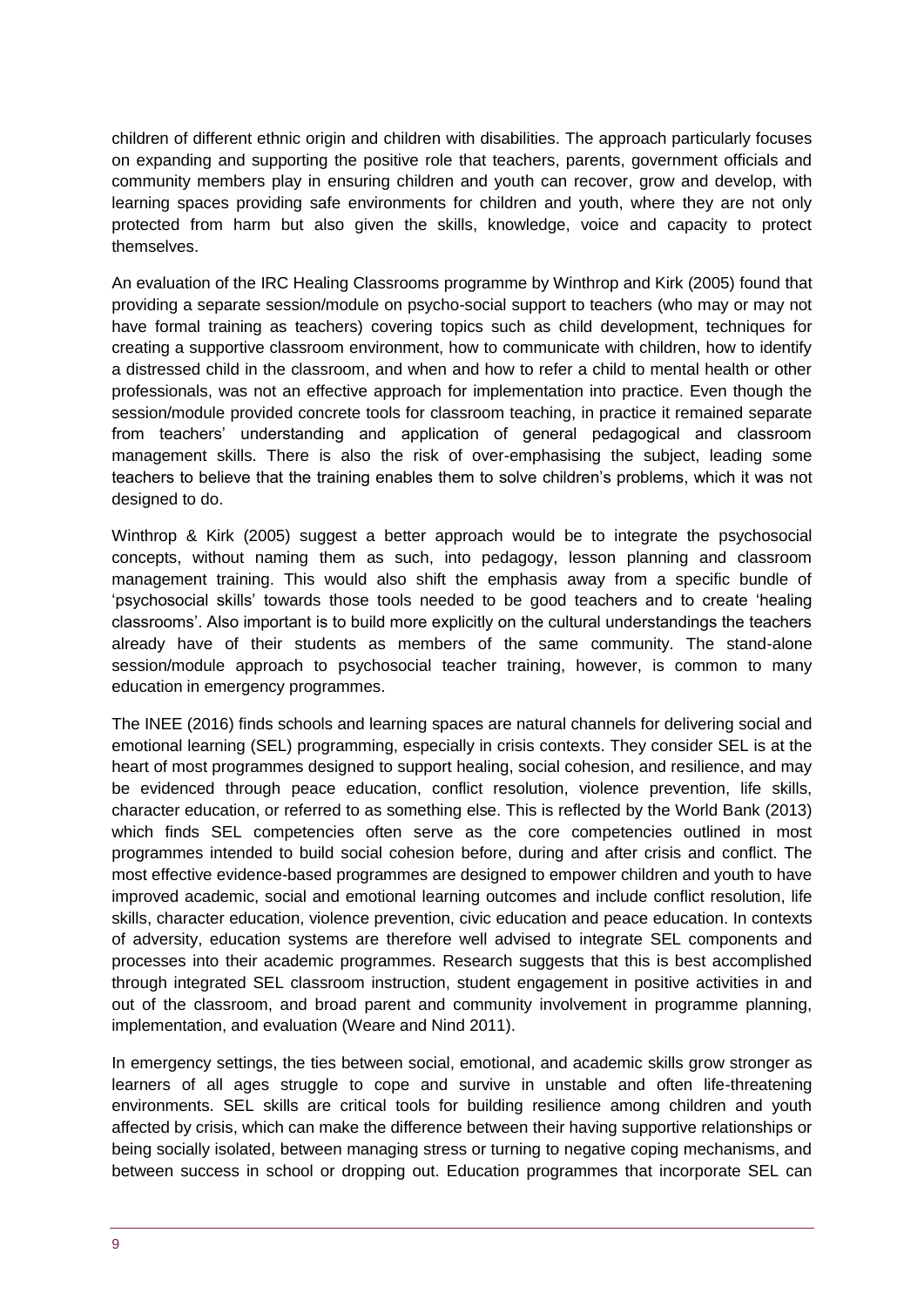children of different ethnic origin and children with disabilities. The approach particularly focuses on expanding and supporting the positive role that teachers, parents, government officials and community members play in ensuring children and youth can recover, grow and develop, with learning spaces providing safe environments for children and youth, where they are not only protected from harm but also given the skills, knowledge, voice and capacity to protect themselves.

An evaluation of the IRC Healing Classrooms programme by Winthrop and Kirk (2005) found that providing a separate session/module on psycho-social support to teachers (who may or may not have formal training as teachers) covering topics such as child development, techniques for creating a supportive classroom environment, how to communicate with children, how to identify a distressed child in the classroom, and when and how to refer a child to mental health or other professionals, was not an effective approach for implementation into practice. Even though the session/module provided concrete tools for classroom teaching, in practice it remained separate from teachers' understanding and application of general pedagogical and classroom management skills. There is also the risk of over-emphasising the subject, leading some teachers to believe that the training enables them to solve children's problems, which it was not designed to do.

Winthrop & Kirk (2005) suggest a better approach would be to integrate the psychosocial concepts, without naming them as such, into pedagogy, lesson planning and classroom management training. This would also shift the emphasis away from a specific bundle of 'psychosocial skills' towards those tools needed to be good teachers and to create 'healing classrooms'. Also important is to build more explicitly on the cultural understandings the teachers already have of their students as members of the same community. The stand-alone session/module approach to psychosocial teacher training, however, is common to many education in emergency programmes.

The INEE (2016) finds schools and learning spaces are natural channels for delivering social and emotional learning (SEL) programming, especially in crisis contexts. They consider SEL is at the heart of most programmes designed to support healing, social cohesion, and resilience, and may be evidenced through peace education, conflict resolution, violence prevention, life skills, character education, or referred to as something else. This is reflected by the World Bank (2013) which finds SEL competencies often serve as the core competencies outlined in most programmes intended to build social cohesion before, during and after crisis and conflict. The most effective evidence-based programmes are designed to empower children and youth to have improved academic, social and emotional learning outcomes and include conflict resolution, life skills, character education, violence prevention, civic education and peace education. In contexts of adversity, education systems are therefore well advised to integrate SEL components and processes into their academic programmes. Research suggests that this is best accomplished through integrated SEL classroom instruction, student engagement in positive activities in and out of the classroom, and broad parent and community involvement in programme planning, implementation, and evaluation (Weare and Nind 2011).

In emergency settings, the ties between social, emotional, and academic skills grow stronger as learners of all ages struggle to cope and survive in unstable and often life-threatening environments. SEL skills are critical tools for building resilience among children and youth affected by crisis, which can make the difference between their having supportive relationships or being socially isolated, between managing stress or turning to negative coping mechanisms, and between success in school or dropping out. Education programmes that incorporate SEL can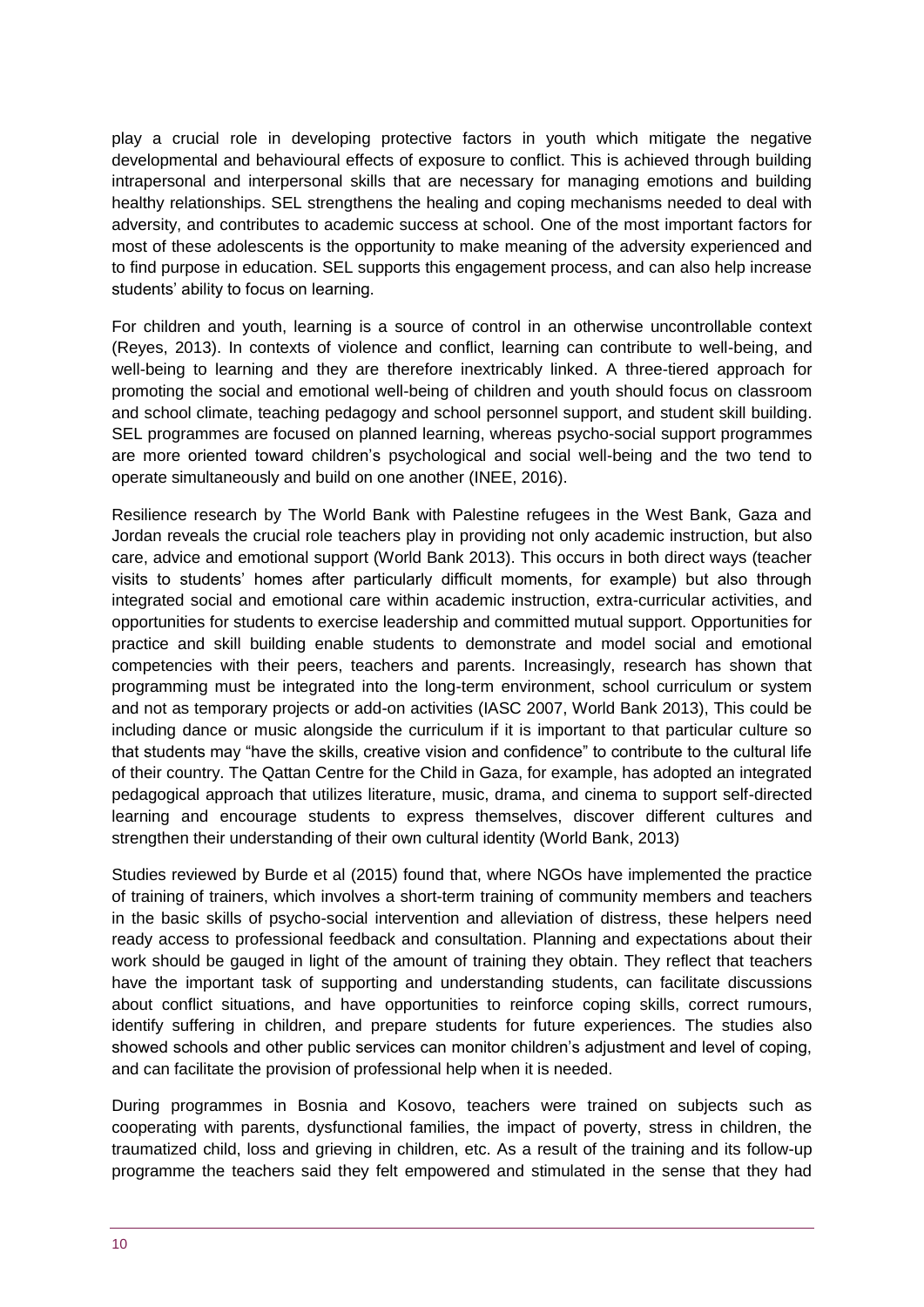play a crucial role in developing protective factors in youth which mitigate the negative developmental and behavioural effects of exposure to conflict. This is achieved through building intrapersonal and interpersonal skills that are necessary for managing emotions and building healthy relationships. SEL strengthens the healing and coping mechanisms needed to deal with adversity, and contributes to academic success at school. One of the most important factors for most of these adolescents is the opportunity to make meaning of the adversity experienced and to find purpose in education. SEL supports this engagement process, and can also help increase students' ability to focus on learning.

For children and youth, learning is a source of control in an otherwise uncontrollable context (Reyes, 2013). In contexts of violence and conflict, learning can contribute to well-being, and well-being to learning and they are therefore inextricably linked. A three-tiered approach for promoting the social and emotional well-being of children and youth should focus on classroom and school climate, teaching pedagogy and school personnel support, and student skill building. SEL programmes are focused on planned learning, whereas psycho-social support programmes are more oriented toward children's psychological and social well-being and the two tend to operate simultaneously and build on one another (INEE, 2016).

Resilience research by The World Bank with Palestine refugees in the West Bank, Gaza and Jordan reveals the crucial role teachers play in providing not only academic instruction, but also care, advice and emotional support (World Bank 2013). This occurs in both direct ways (teacher visits to students' homes after particularly difficult moments, for example) but also through integrated social and emotional care within academic instruction, extra-curricular activities, and opportunities for students to exercise leadership and committed mutual support. Opportunities for practice and skill building enable students to demonstrate and model social and emotional competencies with their peers, teachers and parents. Increasingly, research has shown that programming must be integrated into the long-term environment, school curriculum or system and not as temporary projects or add-on activities (IASC 2007, World Bank 2013), This could be including dance or music alongside the curriculum if it is important to that particular culture so that students may "have the skills, creative vision and confidence" to contribute to the cultural life of their country. The Qattan Centre for the Child in Gaza, for example, has adopted an integrated pedagogical approach that utilizes literature, music, drama, and cinema to support self-directed learning and encourage students to express themselves, discover different cultures and strengthen their understanding of their own cultural identity (World Bank, 2013)

Studies reviewed by Burde et al (2015) found that, where NGOs have implemented the practice of training of trainers, which involves a short-term training of community members and teachers in the basic skills of psycho-social intervention and alleviation of distress, these helpers need ready access to professional feedback and consultation. Planning and expectations about their work should be gauged in light of the amount of training they obtain. They reflect that teachers have the important task of supporting and understanding students, can facilitate discussions about conflict situations, and have opportunities to reinforce coping skills, correct rumours, identify suffering in children, and prepare students for future experiences. The studies also showed schools and other public services can monitor children's adjustment and level of coping, and can facilitate the provision of professional help when it is needed.

During programmes in Bosnia and Kosovo, teachers were trained on subjects such as cooperating with parents, dysfunctional families, the impact of poverty, stress in children, the traumatized child, loss and grieving in children, etc. As a result of the training and its follow-up programme the teachers said they felt empowered and stimulated in the sense that they had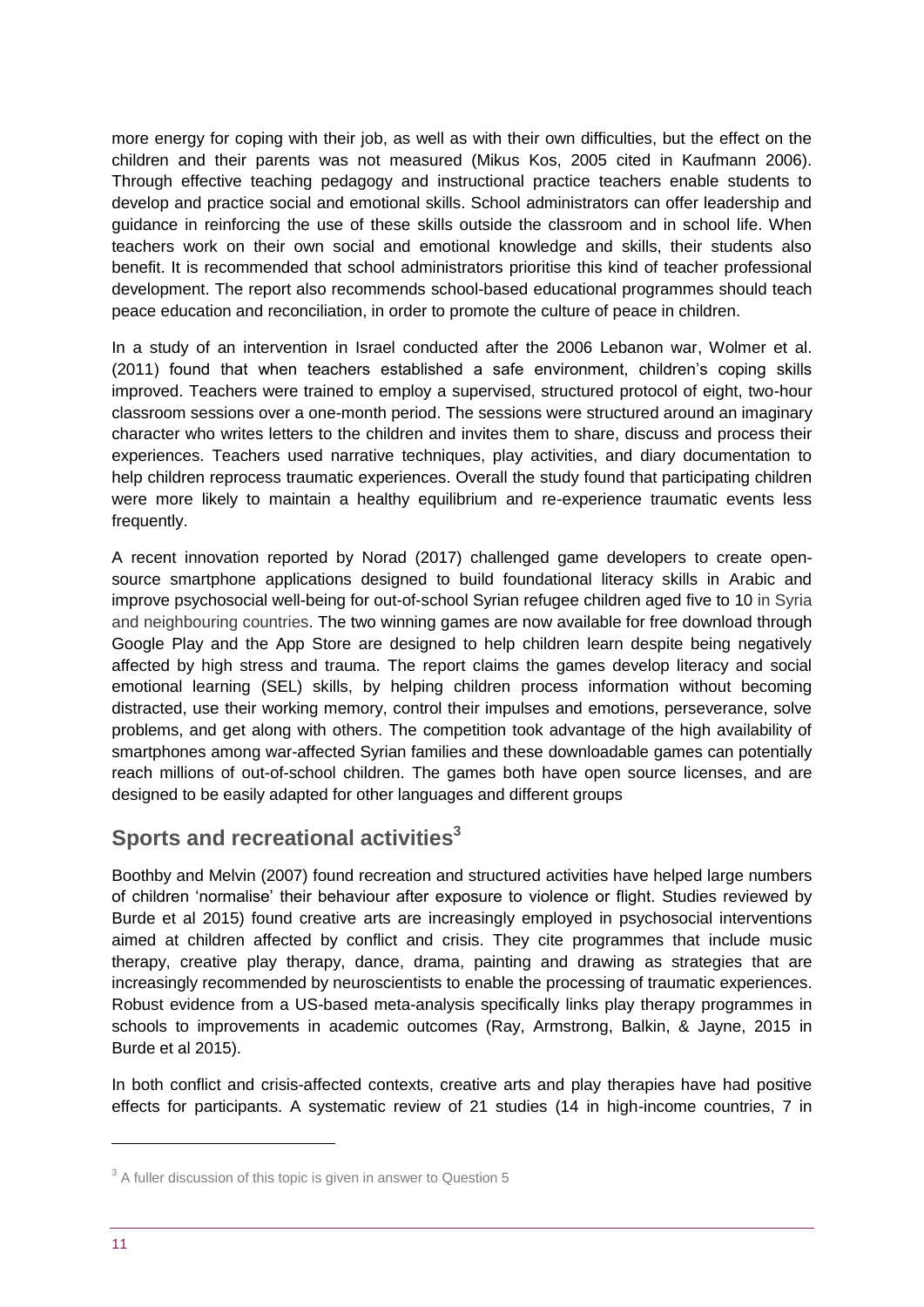more energy for coping with their job, as well as with their own difficulties, but the effect on the children and their parents was not measured (Mikus Kos, 2005 cited in Kaufmann 2006). Through effective teaching pedagogy and instructional practice teachers enable students to develop and practice social and emotional skills. School administrators can offer leadership and guidance in reinforcing the use of these skills outside the classroom and in school life. When teachers work on their own social and emotional knowledge and skills, their students also benefit. It is recommended that school administrators prioritise this kind of teacher professional development. The report also recommends school-based educational programmes should teach peace education and reconciliation, in order to promote the culture of peace in children.

In a study of an intervention in Israel conducted after the 2006 Lebanon war, Wolmer et al. (2011) found that when teachers established a safe environment, children's coping skills improved. Teachers were trained to employ a supervised, structured protocol of eight, two-hour classroom sessions over a one-month period. The sessions were structured around an imaginary character who writes letters to the children and invites them to share, discuss and process their experiences. Teachers used narrative techniques, play activities, and diary documentation to help children reprocess traumatic experiences. Overall the study found that participating children were more likely to maintain a healthy equilibrium and re-experience traumatic events less frequently.

A recent innovation reported by Norad (2017) challenged game developers to create opensource smartphone applications designed to build foundational literacy skills in Arabic and improve psychosocial well-being for out-of-school Syrian refugee children aged five to 10 in Syria and neighbouring countries. The two winning games are now available for free download through Google Play and the App Store are designed to help children learn despite being negatively affected by high stress and trauma. The report claims the games develop literacy and social emotional learning (SEL) skills, by helping children process information without becoming distracted, use their working memory, control their impulses and emotions, perseverance, solve problems, and get along with others. The competition took advantage of the high availability of smartphones among war-affected Syrian families and these downloadable games can potentially reach millions of out-of-school children. The games both have open source licenses, and are designed to be easily adapted for other languages and different groups

## **Sports and recreational activities<sup>3</sup>**

Boothby and Melvin (2007) found recreation and structured activities have helped large numbers of children 'normalise' their behaviour after exposure to violence or flight. Studies reviewed by Burde et al 2015) found creative arts are increasingly employed in psychosocial interventions aimed at children affected by conflict and crisis. They cite programmes that include music therapy, creative play therapy, dance, drama, painting and drawing as strategies that are increasingly recommended by neuroscientists to enable the processing of traumatic experiences. Robust evidence from a US-based meta-analysis specifically links play therapy programmes in schools to improvements in academic outcomes (Ray, Armstrong, Balkin, & Jayne, 2015 in Burde et al 2015).

In both conflict and crisis-affected contexts, creative arts and play therapies have had positive effects for participants. A systematic review of 21 studies (14 in high-income countries, 7 in

1

 $3$  A fuller discussion of this topic is given in answer to Question 5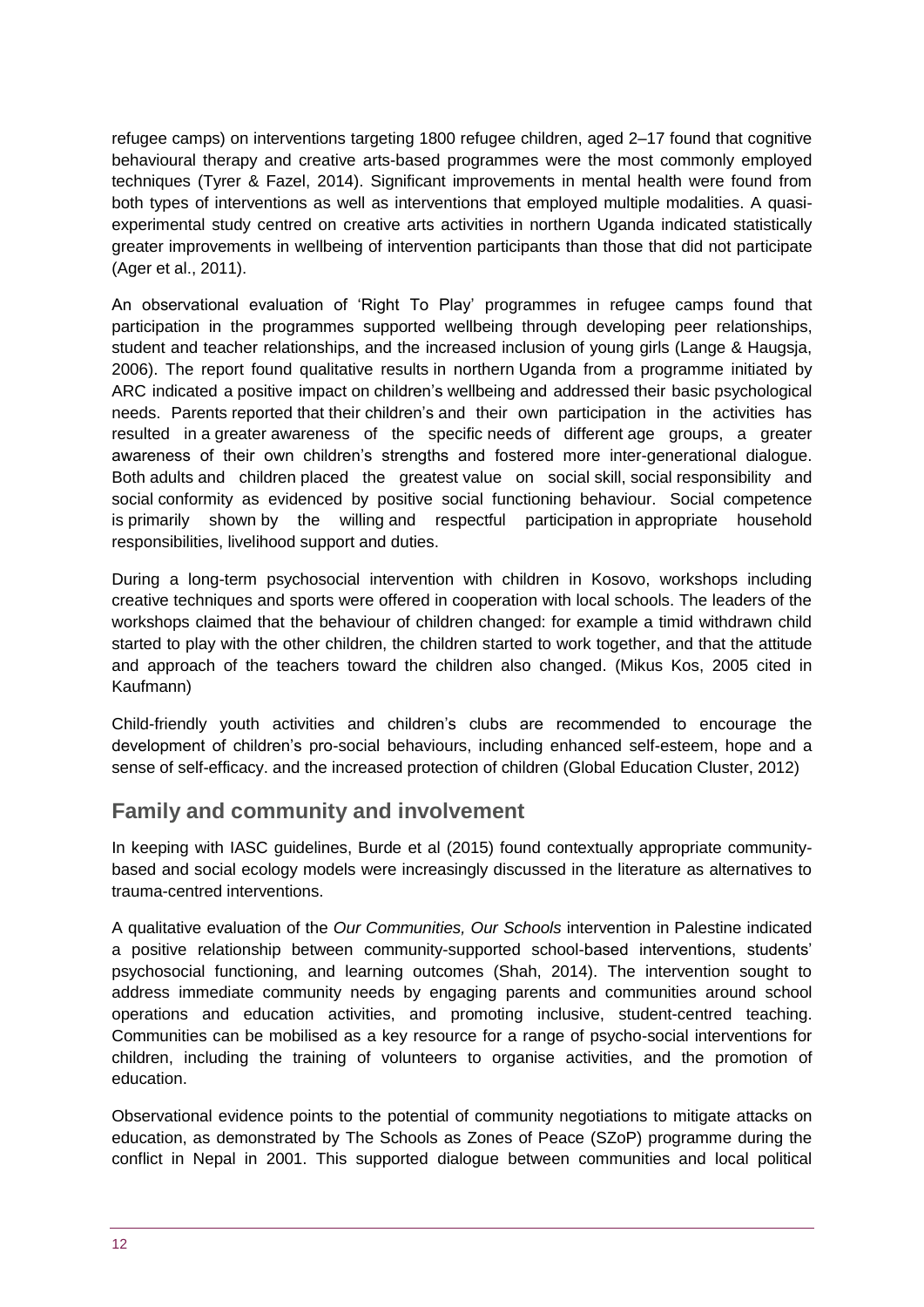refugee camps) on interventions targeting 1800 refugee children, aged 2–17 found that cognitive behavioural therapy and creative arts-based programmes were the most commonly employed techniques (Tyrer & Fazel, 2014). Significant improvements in mental health were found from both types of interventions as well as interventions that employed multiple modalities. A quasiexperimental study centred on creative arts activities in northern Uganda indicated statistically greater improvements in wellbeing of intervention participants than those that did not participate (Ager et al., 2011).

An observational evaluation of 'Right To Play' programmes in refugee camps found that participation in the programmes supported wellbeing through developing peer relationships, student and teacher relationships, and the increased inclusion of young girls (Lange & Haugsja, 2006). The report found qualitative results in northern Uganda from a programme initiated by ARC indicated a positive impact on children's wellbeing and addressed their basic psychological needs. Parents reported that their children's and their own participation in the activities has resulted in a greater awareness of the specific needs of different age groups, a greater awareness of their own children's strengths and fostered more inter-generational dialogue. Both adults and children placed the greatest value on social skill, social responsibility and social conformity as evidenced by positive social functioning behaviour. Social competence is primarily shown by the willing and respectful participation in appropriate household responsibilities, livelihood support and duties.

During a long-term psychosocial intervention with children in Kosovo, workshops including creative techniques and sports were offered in cooperation with local schools. The leaders of the workshops claimed that the behaviour of children changed: for example a timid withdrawn child started to play with the other children, the children started to work together, and that the attitude and approach of the teachers toward the children also changed. (Mikus Kos, 2005 cited in Kaufmann)

Child-friendly youth activities and children's clubs are recommended to encourage the development of children's pro-social behaviours, including enhanced self-esteem, hope and a sense of self-efficacy. and the increased protection of children (Global Education Cluster, 2012)

## **Family and community and involvement**

In keeping with IASC guidelines, Burde et al (2015) found contextually appropriate communitybased and social ecology models were increasingly discussed in the literature as alternatives to trauma-centred interventions.

A qualitative evaluation of the *Our Communities, Our Schools* intervention in Palestine indicated a positive relationship between community-supported school-based interventions, students' psychosocial functioning, and learning outcomes (Shah, 2014). The intervention sought to address immediate community needs by engaging parents and communities around school operations and education activities, and promoting inclusive, student-centred teaching. Communities can be mobilised as a key resource for a range of psycho-social interventions for children, including the training of volunteers to organise activities, and the promotion of education.

Observational evidence points to the potential of community negotiations to mitigate attacks on education, as demonstrated by The Schools as Zones of Peace (SZoP) programme during the conflict in Nepal in 2001. This supported dialogue between communities and local political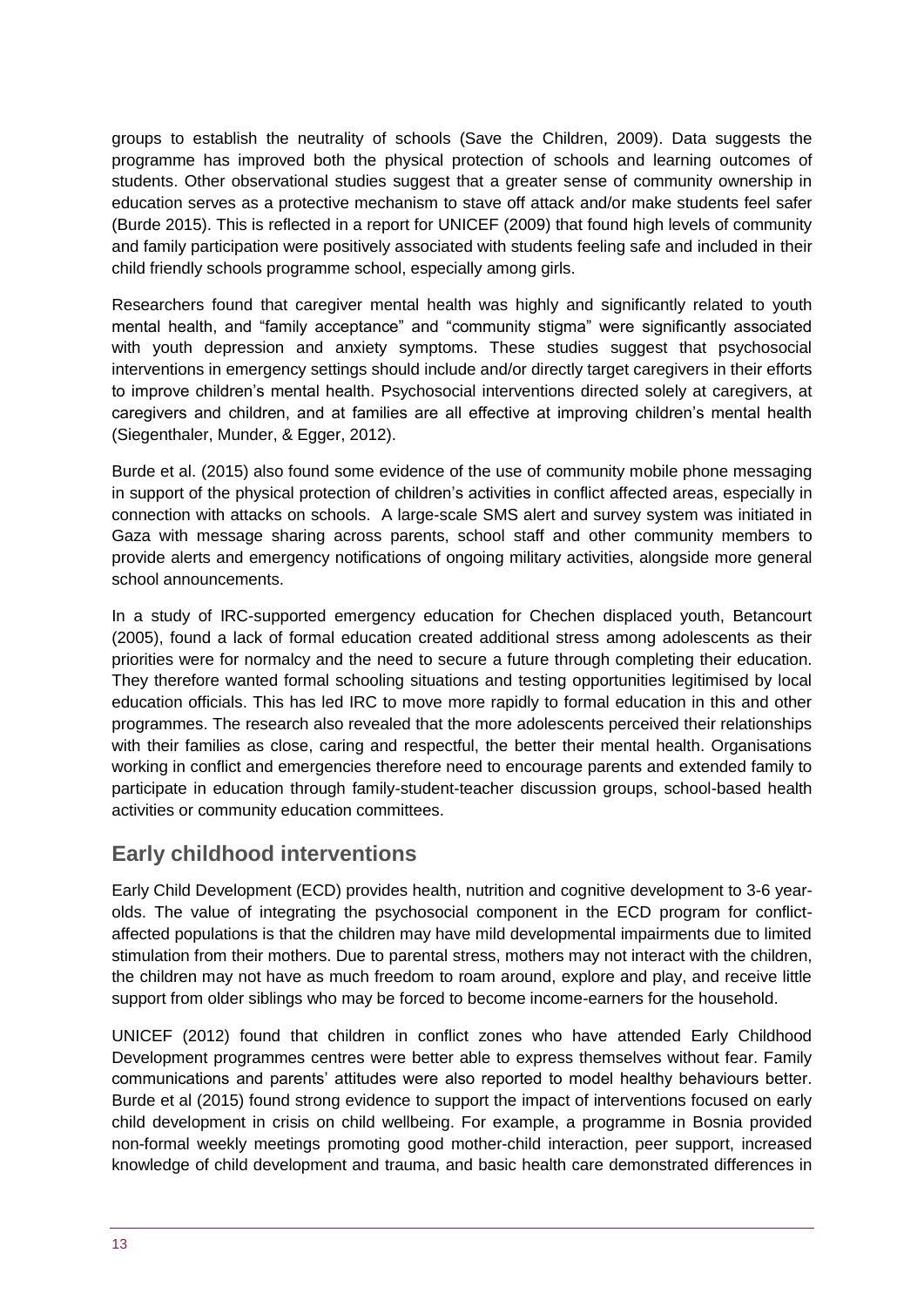groups to establish the neutrality of schools (Save the Children, 2009). Data suggests the programme has improved both the physical protection of schools and learning outcomes of students. Other observational studies suggest that a greater sense of community ownership in education serves as a protective mechanism to stave off attack and/or make students feel safer (Burde 2015). This is reflected in a report for UNICEF (2009) that found high levels of community and family participation were positively associated with students feeling safe and included in their child friendly schools programme school, especially among girls.

Researchers found that caregiver mental health was highly and significantly related to youth mental health, and "family acceptance" and "community stigma" were significantly associated with youth depression and anxiety symptoms. These studies suggest that psychosocial interventions in emergency settings should include and/or directly target caregivers in their efforts to improve children's mental health. Psychosocial interventions directed solely at caregivers, at caregivers and children, and at families are all effective at improving children's mental health (Siegenthaler, Munder, & Egger, 2012).

Burde et al. (2015) also found some evidence of the use of community mobile phone messaging in support of the physical protection of children's activities in conflict affected areas, especially in connection with attacks on schools. A large-scale SMS alert and survey system was initiated in Gaza with message sharing across parents, school staff and other community members to provide alerts and emergency notifications of ongoing military activities, alongside more general school announcements.

In a study of IRC-supported emergency education for Chechen displaced youth, Betancourt (2005), found a lack of formal education created additional stress among adolescents as their priorities were for normalcy and the need to secure a future through completing their education. They therefore wanted formal schooling situations and testing opportunities legitimised by local education officials. This has led IRC to move more rapidly to formal education in this and other programmes. The research also revealed that the more adolescents perceived their relationships with their families as close, caring and respectful, the better their mental health. Organisations working in conflict and emergencies therefore need to encourage parents and extended family to participate in education through family-student-teacher discussion groups, school-based health activities or community education committees.

## **Early childhood interventions**

Early Child Development (ECD) provides health, nutrition and cognitive development to 3-6 yearolds. The value of integrating the psychosocial component in the ECD program for conflictaffected populations is that the children may have mild developmental impairments due to limited stimulation from their mothers. Due to parental stress, mothers may not interact with the children, the children may not have as much freedom to roam around, explore and play, and receive little support from older siblings who may be forced to become income-earners for the household.

UNICEF (2012) found that children in conflict zones who have attended Early Childhood Development programmes centres were better able to express themselves without fear. Family communications and parents' attitudes were also reported to model healthy behaviours better. Burde et al (2015) found strong evidence to support the impact of interventions focused on early child development in crisis on child wellbeing. For example, a programme in Bosnia provided non-formal weekly meetings promoting good mother-child interaction, peer support, increased knowledge of child development and trauma, and basic health care demonstrated differences in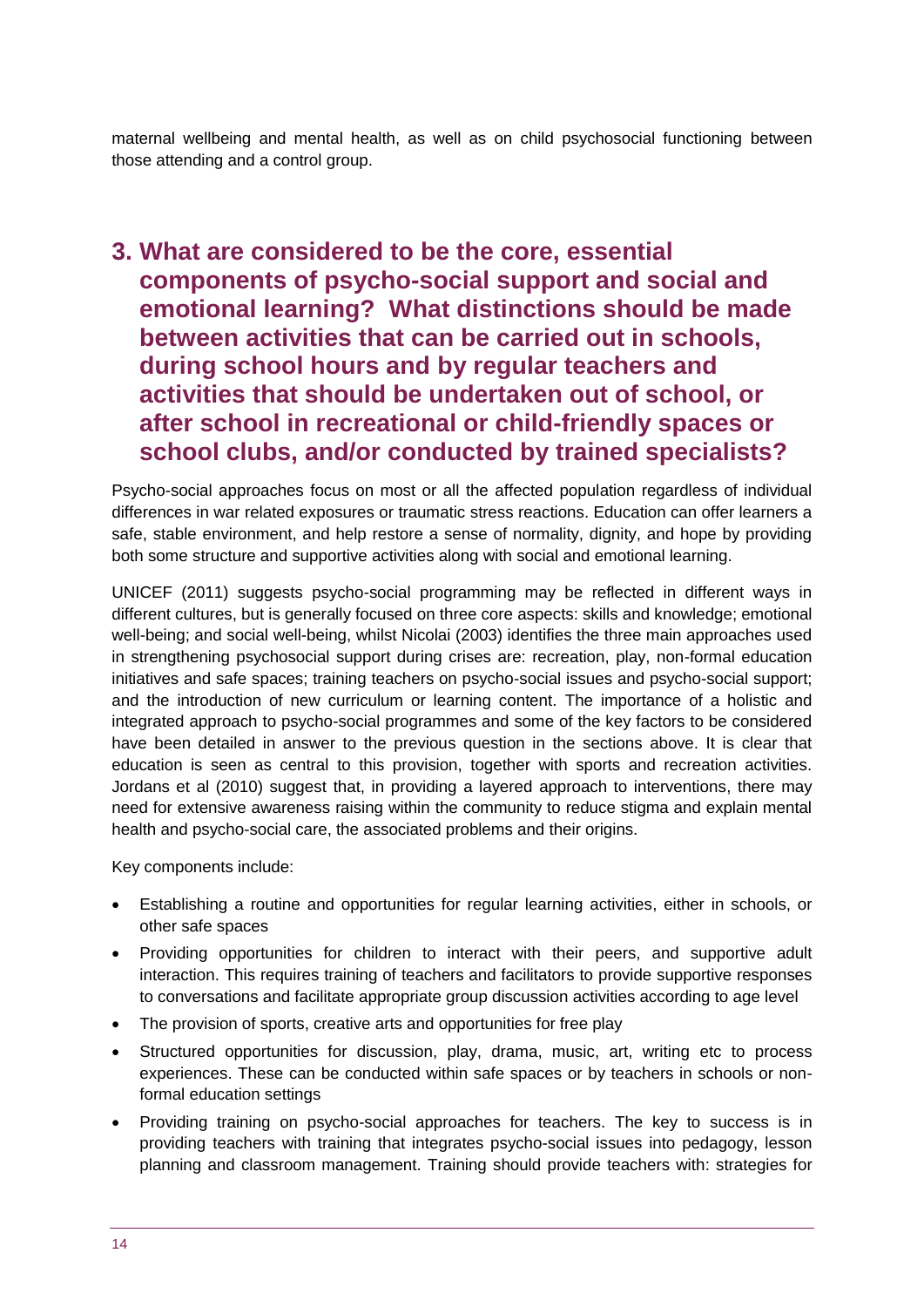maternal wellbeing and mental health, as well as on child psychosocial functioning between those attending and a control group.

# <span id="page-13-0"></span>**3. What are considered to be the core, essential components of psycho-social support and social and emotional learning? What distinctions should be made between activities that can be carried out in schools, during school hours and by regular teachers and activities that should be undertaken out of school, or after school in recreational or child-friendly spaces or school clubs, and/or conducted by trained specialists?**

Psycho-social approaches focus on most or all the affected population regardless of individual differences in war related exposures or traumatic stress reactions. Education can offer learners a safe, stable environment, and help restore a sense of normality, dignity, and hope by providing both some structure and supportive activities along with social and emotional learning.

UNICEF (2011) suggests psycho-social programming may be reflected in different ways in different cultures, but is generally focused on three core aspects: skills and knowledge; emotional well-being; and social well-being, whilst Nicolai (2003) identifies the three main approaches used in strengthening psychosocial support during crises are: recreation, play, non-formal education initiatives and safe spaces; training teachers on psycho-social issues and psycho-social support; and the introduction of new curriculum or learning content. The importance of a holistic and integrated approach to psycho-social programmes and some of the key factors to be considered have been detailed in answer to the previous question in the sections above. It is clear that education is seen as central to this provision, together with sports and recreation activities. Jordans et al (2010) suggest that, in providing a layered approach to interventions, there may need for extensive awareness raising within the community to reduce stigma and explain mental health and psycho-social care, the associated problems and their origins.

Key components include:

- Establishing a routine and opportunities for regular learning activities, either in schools, or other safe spaces
- Providing opportunities for children to interact with their peers, and supportive adult interaction. This requires training of teachers and facilitators to provide supportive responses to conversations and facilitate appropriate group discussion activities according to age level
- The provision of sports, creative arts and opportunities for free play
- Structured opportunities for discussion, play, drama, music, art, writing etc to process experiences. These can be conducted within safe spaces or by teachers in schools or nonformal education settings
- Providing training on psycho-social approaches for teachers. The key to success is in providing teachers with training that integrates psycho-social issues into pedagogy, lesson planning and classroom management. Training should provide teachers with: strategies for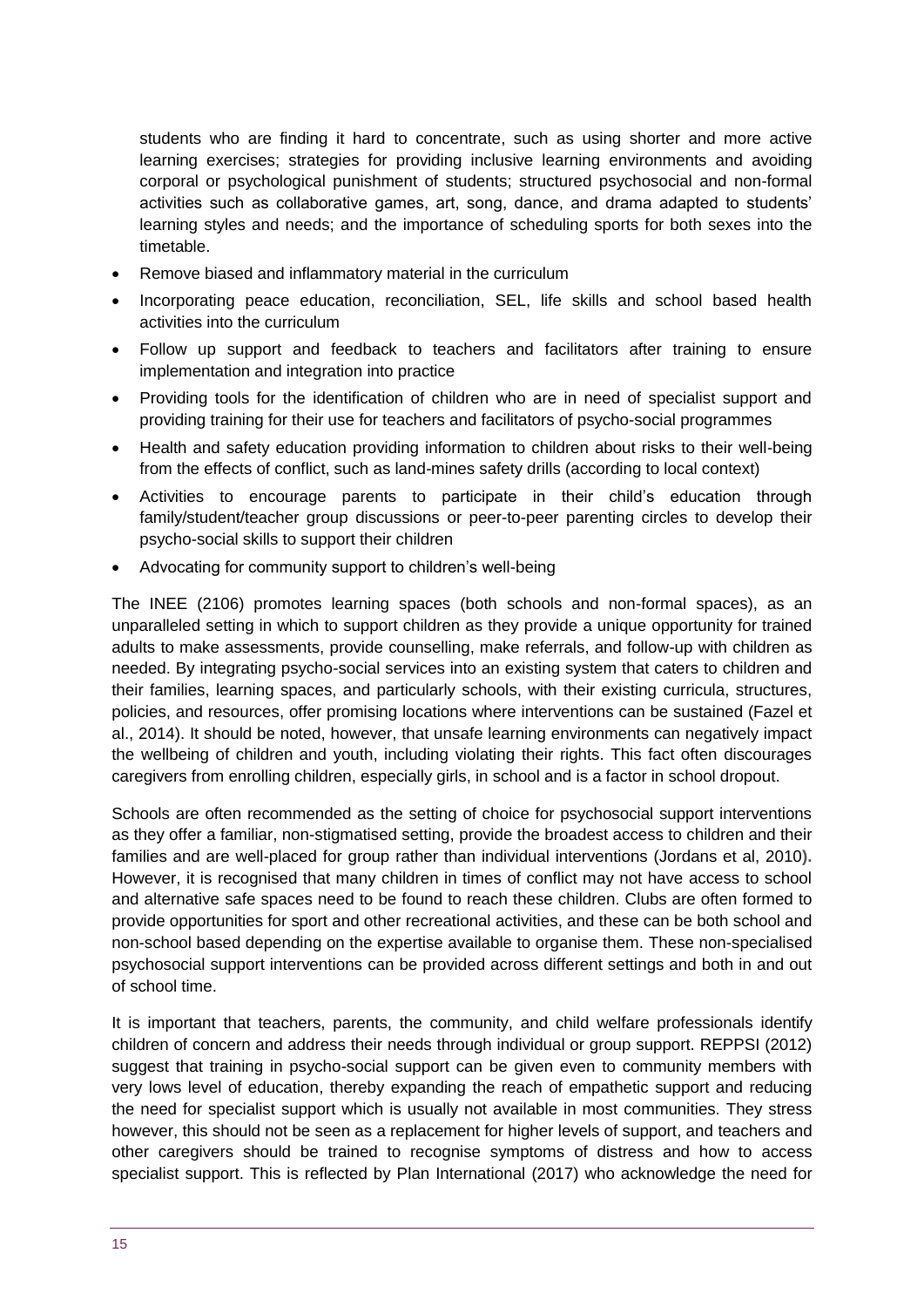students who are finding it hard to concentrate, such as using shorter and more active learning exercises; strategies for providing inclusive learning environments and avoiding corporal or psychological punishment of students; structured psychosocial and non-formal activities such as collaborative games, art, song, dance, and drama adapted to students' learning styles and needs; and the importance of scheduling sports for both sexes into the timetable.

- Remove biased and inflammatory material in the curriculum
- Incorporating peace education, reconciliation, SEL, life skills and school based health activities into the curriculum
- Follow up support and feedback to teachers and facilitators after training to ensure implementation and integration into practice
- Providing tools for the identification of children who are in need of specialist support and providing training for their use for teachers and facilitators of psycho-social programmes
- Health and safety education providing information to children about risks to their well-being from the effects of conflict, such as land-mines safety drills (according to local context)
- Activities to encourage parents to participate in their child's education through family/student/teacher group discussions or peer-to-peer parenting circles to develop their psycho-social skills to support their children
- Advocating for community support to children's well-being

The INEE (2106) promotes learning spaces (both schools and non-formal spaces), as an unparalleled setting in which to support children as they provide a unique opportunity for trained adults to make assessments, provide counselling, make referrals, and follow-up with children as needed. By integrating psycho-social services into an existing system that caters to children and their families, learning spaces, and particularly schools, with their existing curricula, structures, policies, and resources, offer promising locations where interventions can be sustained (Fazel et al., 2014). It should be noted, however, that unsafe learning environments can negatively impact the wellbeing of children and youth, including violating their rights. This fact often discourages caregivers from enrolling children, especially girls, in school and is a factor in school dropout.

Schools are often recommended as the setting of choice for psychosocial support interventions as they offer a familiar, non-stigmatised setting, provide the broadest access to children and their families and are well-placed for group rather than individual interventions (Jordans et al, 2010**).**  However, it is recognised that many children in times of conflict may not have access to school and alternative safe spaces need to be found to reach these children. Clubs are often formed to provide opportunities for sport and other recreational activities, and these can be both school and non-school based depending on the expertise available to organise them. These non-specialised psychosocial support interventions can be provided across different settings and both in and out of school time.

It is important that teachers, parents, the community, and child welfare professionals identify children of concern and address their needs through individual or group support. REPPSI (2012) suggest that training in psycho-social support can be given even to community members with very lows level of education, thereby expanding the reach of empathetic support and reducing the need for specialist support which is usually not available in most communities. They stress however, this should not be seen as a replacement for higher levels of support, and teachers and other caregivers should be trained to recognise symptoms of distress and how to access specialist support. This is reflected by Plan International (2017) who acknowledge the need for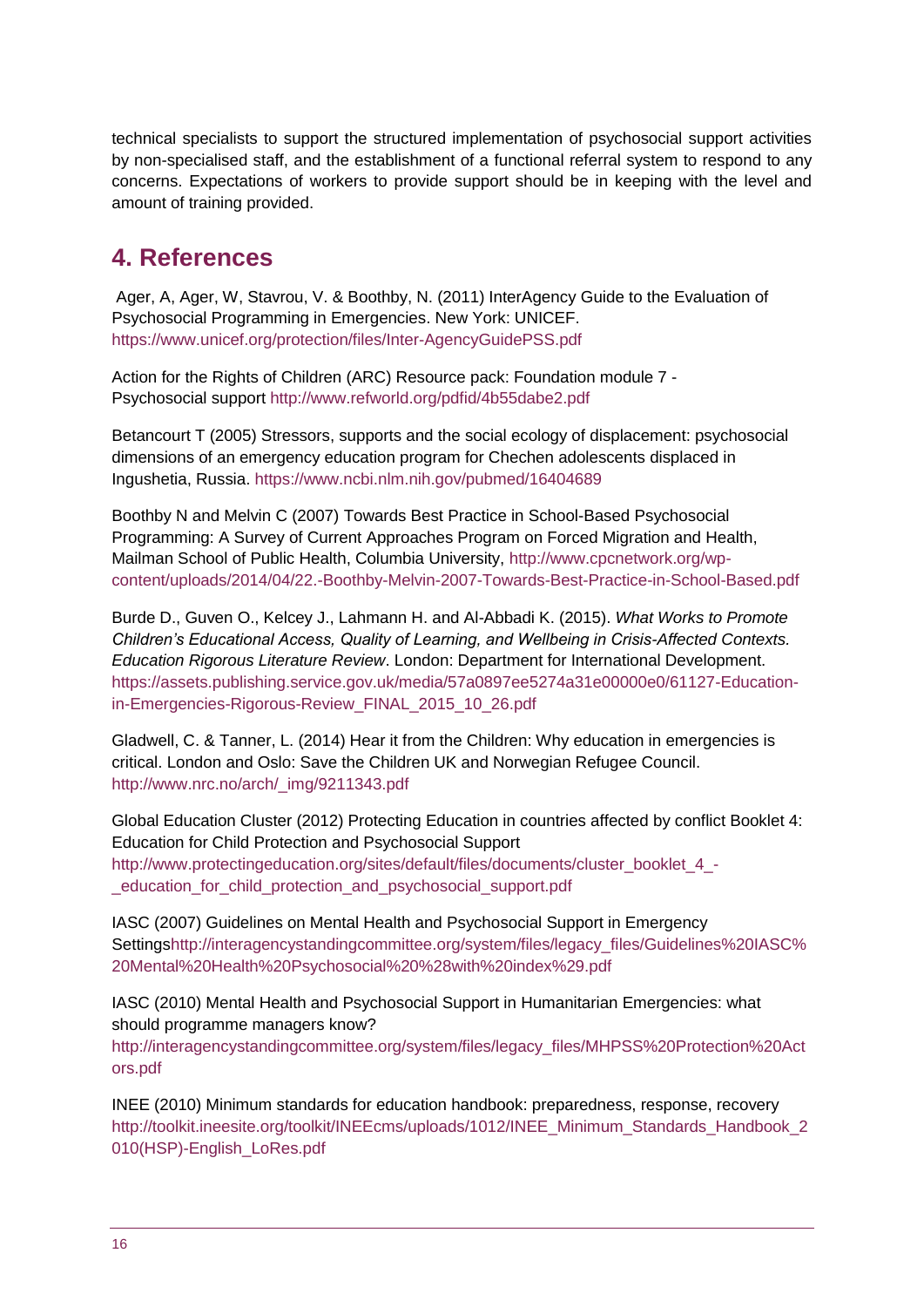technical specialists to support the structured implementation of psychosocial support activities by non-specialised staff, and the establishment of a functional referral system to respond to any concerns. Expectations of workers to provide support should be in keeping with the level and amount of training provided.

# <span id="page-15-0"></span>**4. References**

Ager, A, Ager, W, Stavrou, V. & Boothby, N. (2011) InterAgency Guide to the Evaluation of Psychosocial Programming in Emergencies. New York: UNICEF. <https://www.unicef.org/protection/files/Inter-AgencyGuidePSS.pdf>

Action for the Rights of Children (ARC) Resource pack: Foundation module 7 - Psychosocial support<http://www.refworld.org/pdfid/4b55dabe2.pdf>

Betancourt T (2005) Stressors, supports and the social ecology of displacement: psychosocial dimensions of an emergency education program for Chechen adolescents displaced in Ingushetia, Russia.<https://www.ncbi.nlm.nih.gov/pubmed/16404689>

Boothby N and Melvin C (2007) Towards Best Practice in School-Based Psychosocial Programming: A Survey of Current Approaches Program on Forced Migration and Health, Mailman School of Public Health, Columbia University, [http://www.cpcnetwork.org/wp](http://www.cpcnetwork.org/wp-content/uploads/2014/04/22.-Boothby-Melvin-2007-Towards-Best-Practice-in-School-Based.pdf)[content/uploads/2014/04/22.-Boothby-Melvin-2007-Towards-Best-Practice-in-School-Based.pdf](http://www.cpcnetwork.org/wp-content/uploads/2014/04/22.-Boothby-Melvin-2007-Towards-Best-Practice-in-School-Based.pdf)

Burde D., Guven O., Kelcey J., Lahmann H. and Al-Abbadi K. (2015). *What Works to Promote Children's Educational Access, Quality of Learning, and Wellbeing in Crisis-Affected Contexts. Education Rigorous Literature Review*. London: Department for International Development. [https://assets.publishing.service.gov.uk/media/57a0897ee5274a31e00000e0/61127-Education](https://assets.publishing.service.gov.uk/media/57a0897ee5274a31e00000e0/61127-Education-in-Emergencies-Rigorous-Review_FINAL_2015_10_26.pdf)[in-Emergencies-Rigorous-Review\\_FINAL\\_2015\\_10\\_26.pdf](https://assets.publishing.service.gov.uk/media/57a0897ee5274a31e00000e0/61127-Education-in-Emergencies-Rigorous-Review_FINAL_2015_10_26.pdf)

Gladwell, C. & Tanner, L. (2014) Hear it from the Children: Why education in emergencies is critical. London and Oslo: Save the Children UK and Norwegian Refugee Council. [http://www.nrc.no/arch/\\_img/9211343.pdf](http://www.nrc.no/arch/_img/9211343.pdf)

Global Education Cluster (2012) Protecting Education in countries affected by conflict Booklet 4: Education for Child Protection and Psychosocial Support [http://www.protectingeducation.org/sites/default/files/documents/cluster\\_booklet\\_4\\_-](http://www.protectingeducation.org/sites/default/files/documents/cluster_booklet_4_-_education_for_child_protection_and_psychosocial_support.pdf) [\\_education\\_for\\_child\\_protection\\_and\\_psychosocial\\_support.pdf](http://www.protectingeducation.org/sites/default/files/documents/cluster_booklet_4_-_education_for_child_protection_and_psychosocial_support.pdf)

IASC (2007) Guidelines on Mental Health and Psychosocial Support in Emergency Setting[shttp://interagencystandingcommittee.org/system/files/legacy\\_files/Guidelines%20IASC%](http://interagencystandingcommittee.org/system/files/legacy_files/Guidelines%20IASC%20Mental%20Health%20Psychosocial%20%28with%20index%29.pdf) [20Mental%20Health%20Psychosocial%20%28with%20index%29.pdf](http://interagencystandingcommittee.org/system/files/legacy_files/Guidelines%20IASC%20Mental%20Health%20Psychosocial%20%28with%20index%29.pdf) 

IASC (2010) Mental Health and Psychosocial Support in Humanitarian Emergencies: what should programme managers know? [http://interagencystandingcommittee.org/system/files/legacy\\_files/MHPSS%20Protection%20Act](http://interagencystandingcommittee.org/system/files/legacy_files/MHPSS%20Protection%20Actors.pdf) [ors.pdf](http://interagencystandingcommittee.org/system/files/legacy_files/MHPSS%20Protection%20Actors.pdf)

INEE (2010) Minimum standards for education handbook: preparedness, response, recovery [http://toolkit.ineesite.org/toolkit/INEEcms/uploads/1012/INEE\\_Minimum\\_Standards\\_Handbook\\_2](http://toolkit.ineesite.org/toolkit/INEEcms/uploads/1012/INEE_Minimum_Standards_Handbook_2010(HSP)-English_LoRes.pdf) [010\(HSP\)-English\\_LoRes.pdf](http://toolkit.ineesite.org/toolkit/INEEcms/uploads/1012/INEE_Minimum_Standards_Handbook_2010(HSP)-English_LoRes.pdf)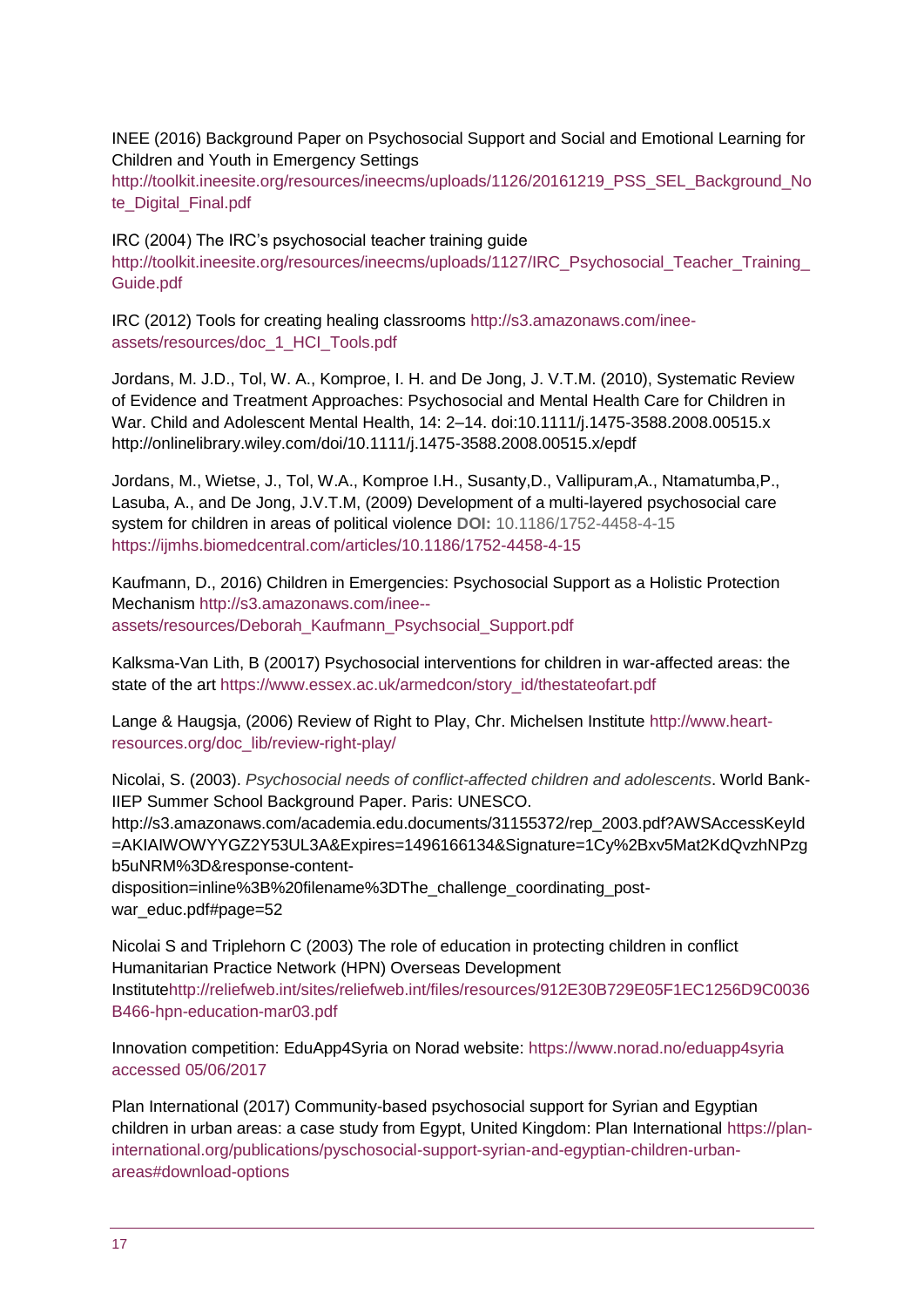INEE (2016) Background Paper on Psychosocial Support and Social and Emotional Learning for Children and Youth in Emergency Settings

[http://toolkit.ineesite.org/resources/ineecms/uploads/1126/20161219\\_PSS\\_SEL\\_Background\\_No](http://toolkit.ineesite.org/resources/ineecms/uploads/1126/20161219_PSS_SEL_Background_Note_Digital_Final.pdf) [te\\_Digital\\_Final.pdf](http://toolkit.ineesite.org/resources/ineecms/uploads/1126/20161219_PSS_SEL_Background_Note_Digital_Final.pdf)

IRC (2004) The IRC's psychosocial teacher training guide [http://toolkit.ineesite.org/resources/ineecms/uploads/1127/IRC\\_Psychosocial\\_Teacher\\_Training\\_](http://toolkit.ineesite.org/resources/ineecms/uploads/1127/IRC_Psychosocial_Teacher_Training_Guide.pdf) [Guide.pdf](http://toolkit.ineesite.org/resources/ineecms/uploads/1127/IRC_Psychosocial_Teacher_Training_Guide.pdf)

IRC (2012) Tools for creating healing classrooms [http://s3.amazonaws.com/inee](http://s3.amazonaws.com/inee-assets/resources/doc_1_HCI_Tools.pdf)[assets/resources/doc\\_1\\_HCI\\_Tools.pdf](http://s3.amazonaws.com/inee-assets/resources/doc_1_HCI_Tools.pdf)

Jordans, M. J.D., Tol, W. A., Komproe, I. H. and De Jong, J. V.T.M. (2010), Systematic Review of Evidence and Treatment Approaches: Psychosocial and Mental Health Care for Children in War. Child and Adolescent Mental Health, 14: 2–14. doi:10.1111/j.1475-3588.2008.00515.x <http://onlinelibrary.wiley.com/doi/10.1111/j.1475-3588.2008.00515.x/epdf>

Jordans, M., Wietse, J., Tol, W.A., Komproe I.H., Susanty,D., Vallipuram,A., Ntamatumba,P., Lasuba, A., and De Jong, J.V.T.M, (2009) Development of a multi-layered psychosocial care system for children in areas of political violence **DOI:** 10.1186/1752-4458-4-15 <https://ijmhs.biomedcentral.com/articles/10.1186/1752-4458-4-15>

Kaufmann, D., 2016) Children in Emergencies: Psychosocial Support as a Holistic Protection Mechanism [http://s3.amazonaws.com/inee-](http://s3.amazonaws.com/inee--assets/resources/Deborah_Kaufmann_Psychsocial_Support.pdf) [assets/resources/Deborah\\_Kaufmann\\_Psychsocial\\_Support.pdf](http://s3.amazonaws.com/inee--assets/resources/Deborah_Kaufmann_Psychsocial_Support.pdf)

Kalksma-Van Lith, B (20017) Psychosocial interventions for children in war-affected areas: the state of the art [https://www.essex.ac.uk/armedcon/story\\_id/thestateofart.pdf](https://www.essex.ac.uk/armedcon/story_id/thestateofart.pdf)

Lange & Haugsja, (2006) Review of Right to Play, Chr. Michelsen Institute [http://www.heart](http://www.heart-resources.org/doc_lib/review-right-play/)[resources.org/doc\\_lib/review-right-play/](http://www.heart-resources.org/doc_lib/review-right-play/)

Nicolai, S. (2003). *Psychosocial needs of conflict-affected children and adolescents*. World Bank-IIEP Summer School Background Paper. Paris: UNESCO. [http://s3.amazonaws.com/academia.edu.documents/31155372/rep\\_2003.pdf?AWSAccessKeyId](http://s3.amazonaws.com/academia.edu.documents/31155372/rep_2003.pdf?AWSAccessKeyId=AKIAIWOWYYGZ2Y53UL3A&Expires=1496166134&Signature=1Cy%2Bxv5Mat2KdQvzhNPzgb5uNRM%3D&response-content-disposition=inline%3B%20filename%3DThe_challenge_coordinating_post-war_educ.pdf#page=52) [=AKIAIWOWYYGZ2Y53UL3A&Expires=1496166134&Signature=1Cy%2Bxv5Mat2KdQvzhNPzg](http://s3.amazonaws.com/academia.edu.documents/31155372/rep_2003.pdf?AWSAccessKeyId=AKIAIWOWYYGZ2Y53UL3A&Expires=1496166134&Signature=1Cy%2Bxv5Mat2KdQvzhNPzgb5uNRM%3D&response-content-disposition=inline%3B%20filename%3DThe_challenge_coordinating_post-war_educ.pdf#page=52) [b5uNRM%3D&response-content-](http://s3.amazonaws.com/academia.edu.documents/31155372/rep_2003.pdf?AWSAccessKeyId=AKIAIWOWYYGZ2Y53UL3A&Expires=1496166134&Signature=1Cy%2Bxv5Mat2KdQvzhNPzgb5uNRM%3D&response-content-disposition=inline%3B%20filename%3DThe_challenge_coordinating_post-war_educ.pdf#page=52)

[disposition=inline%3B%20filename%3DThe\\_challenge\\_coordinating\\_post](http://s3.amazonaws.com/academia.edu.documents/31155372/rep_2003.pdf?AWSAccessKeyId=AKIAIWOWYYGZ2Y53UL3A&Expires=1496166134&Signature=1Cy%2Bxv5Mat2KdQvzhNPzgb5uNRM%3D&response-content-disposition=inline%3B%20filename%3DThe_challenge_coordinating_post-war_educ.pdf#page=52)war\_educ.pdf#page=52

Nicolai S and Triplehorn C (2003) The role of education in protecting children in conflict Humanitarian Practice Network (HPN) Overseas Development Institut[ehttp://reliefweb.int/sites/reliefweb.int/files/resources/912E30B729E05F1EC1256D9C0036](http://reliefweb.int/sites/reliefweb.int/files/resources/912E30B729E05F1EC1256D9C0036B466-hpn-education-mar03.pdf) [B466-hpn-education-mar03.pdf](http://reliefweb.int/sites/reliefweb.int/files/resources/912E30B729E05F1EC1256D9C0036B466-hpn-education-mar03.pdf)

Innovation competition: EduApp4Syria on Norad website: [https://www.norad.no/eduapp4syria](https://www.norad.no/eduapp4syria%20accessed%2005/06/2017)  [accessed 05/06/2017](https://www.norad.no/eduapp4syria%20accessed%2005/06/2017)

Plan International (2017) Community-based psychosocial support for Syrian and Egyptian children in urban areas: a case study from Egypt, United Kingdom: Plan International [https://plan](https://plan-international.org/publications/pyschosocial-support-syrian-and-egyptian-children-urban-areas#download-options)[international.org/publications/pyschosocial-support-syrian-and-egyptian-children-urban](https://plan-international.org/publications/pyschosocial-support-syrian-and-egyptian-children-urban-areas#download-options)[areas#download-options](https://plan-international.org/publications/pyschosocial-support-syrian-and-egyptian-children-urban-areas#download-options)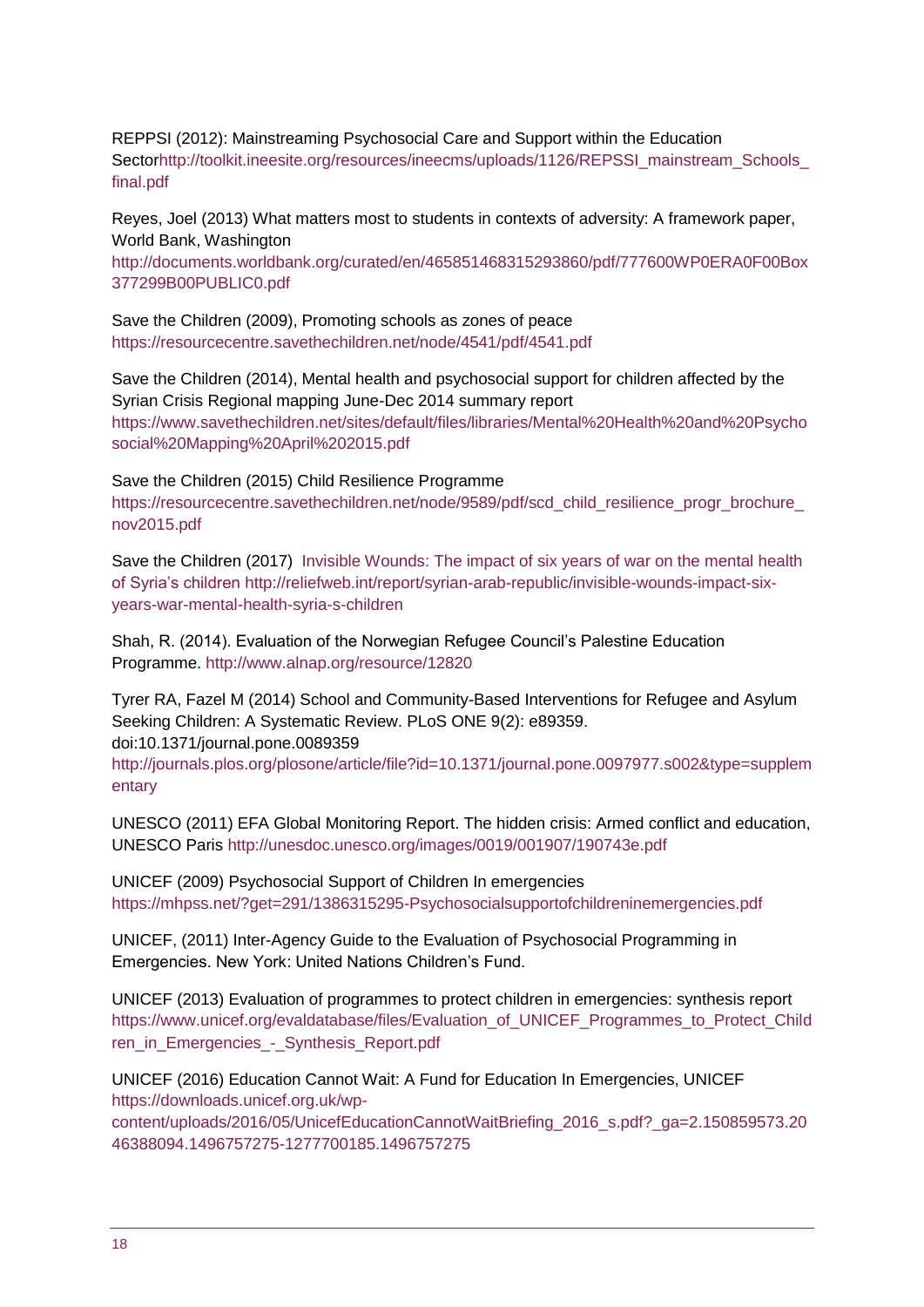REPPSI (2012): Mainstreaming Psychosocial Care and Support within the Education Secto[rhttp://toolkit.ineesite.org/resources/ineecms/uploads/1126/REPSSI\\_mainstream\\_Schools\\_](http://toolkit.ineesite.org/resources/ineecms/uploads/1126/REPSSI_mainstream_Schools_final.pdf) [final.pdf](http://toolkit.ineesite.org/resources/ineecms/uploads/1126/REPSSI_mainstream_Schools_final.pdf)

Reyes, Joel (2013) What matters most to students in contexts of adversity: A framework paper, World Bank, Washington

[http://documents.worldbank.org/curated/en/465851468315293860/pdf/777600WP0ERA0F00Box](http://documents.worldbank.org/curated/en/465851468315293860/pdf/777600WP0ERA0F00Box377299B00PUBLIC0.pdf) [377299B00PUBLIC0.pdf](http://documents.worldbank.org/curated/en/465851468315293860/pdf/777600WP0ERA0F00Box377299B00PUBLIC0.pdf)

Save the Children (2009), Promoting schools as zones of peace <https://resourcecentre.savethechildren.net/node/4541/pdf/4541.pdf>

Save the Children (2014), Mental health and psychosocial support for children affected by the Syrian Crisis Regional mapping June-Dec 2014 summary report [https://www.savethechildren.net/sites/default/files/libraries/Mental%20Health%20and%20Psycho](https://www.savethechildren.net/sites/default/files/libraries/Mental%20Health%20and%20Psychosocial%20Mapping%20April%202015.pdf) [social%20Mapping%20April%202015.pdf](https://www.savethechildren.net/sites/default/files/libraries/Mental%20Health%20and%20Psychosocial%20Mapping%20April%202015.pdf)

Save the Children (2015) Child Resilience Programme [https://resourcecentre.savethechildren.net/node/9589/pdf/scd\\_child\\_resilience\\_progr\\_brochure\\_](https://resourcecentre.savethechildren.net/node/9589/pdf/scd_child_resilience_progr_brochure_nov2015.pdf) [nov2015.pdf](https://resourcecentre.savethechildren.net/node/9589/pdf/scd_child_resilience_progr_brochure_nov2015.pdf)

Save the Children (2017) [Invisible Wounds: The impact of six years of war on the mental health](http://reliefweb.int/report/syrian-arab-republic/invisible-wounds-impact-six-years-war-mental-health-syria-s-children)  [of Syria's children](http://reliefweb.int/report/syrian-arab-republic/invisible-wounds-impact-six-years-war-mental-health-syria-s-children) [http://reliefweb.int/report/syrian-arab-republic/invisible-wounds-impact-six](http://reliefweb.int/report/syrian-arab-republic/invisible-wounds-impact-six-years-war-mental-health-syria-s-children)[years-war-mental-health-syria-s-children](http://reliefweb.int/report/syrian-arab-republic/invisible-wounds-impact-six-years-war-mental-health-syria-s-children)

Shah, R. (2014). Evaluation of the Norwegian Refugee Council's Palestine Education Programme.<http://www.alnap.org/resource/12820>

Tyrer RA, Fazel M (2014) School and Community-Based Interventions for Refugee and Asylum Seeking Children: A Systematic Review. PLoS ONE 9(2): e89359. doi:10.1371/journal.pone.0089359 [http://journals.plos.org/plosone/article/file?id=10.1371/journal.pone.0097977.s002&type=supplem](http://journals.plos.org/plosone/article/file?id=10.1371/journal.pone.0097977.s002&type=supplementary) [entary](http://journals.plos.org/plosone/article/file?id=10.1371/journal.pone.0097977.s002&type=supplementary)

UNESCO (2011) EFA Global Monitoring Report. The hidden crisis: Armed conflict and education, UNESCO Paris<http://unesdoc.unesco.org/images/0019/001907/190743e.pdf>

UNICEF (2009) Psychosocial Support of Children In emergencies <https://mhpss.net/?get=291/1386315295-Psychosocialsupportofchildreninemergencies.pdf>

UNICEF, (2011) Inter-Agency Guide to the Evaluation of Psychosocial Programming in Emergencies. New York: United Nations Children's Fund.

UNICEF (2013) Evaluation of programmes to protect children in emergencies: synthesis report [https://www.unicef.org/evaldatabase/files/Evaluation\\_of\\_UNICEF\\_Programmes\\_to\\_Protect\\_Child](https://www.unicef.org/evaldatabase/files/Evaluation_of_UNICEF_Programmes_to_Protect_Children_in_Emergencies_-_Synthesis_Report.pdf) [ren\\_in\\_Emergencies\\_-\\_Synthesis\\_Report.pdf](https://www.unicef.org/evaldatabase/files/Evaluation_of_UNICEF_Programmes_to_Protect_Children_in_Emergencies_-_Synthesis_Report.pdf)

UNICEF (2016) Education Cannot Wait: A Fund for Education In Emergencies, UNICEF [https://downloads.unicef.org.uk/wp-](https://downloads.unicef.org.uk/wp-content/uploads/2016/05/UnicefEducationCannotWaitBriefing_2016_s.pdf?_ga=2.150859573.2046388094.1496757275-1277700185.1496757275)

[content/uploads/2016/05/UnicefEducationCannotWaitBriefing\\_2016\\_s.pdf?\\_ga=2.150859573.20](https://downloads.unicef.org.uk/wp-content/uploads/2016/05/UnicefEducationCannotWaitBriefing_2016_s.pdf?_ga=2.150859573.2046388094.1496757275-1277700185.1496757275) [46388094.1496757275-1277700185.1496757275](https://downloads.unicef.org.uk/wp-content/uploads/2016/05/UnicefEducationCannotWaitBriefing_2016_s.pdf?_ga=2.150859573.2046388094.1496757275-1277700185.1496757275)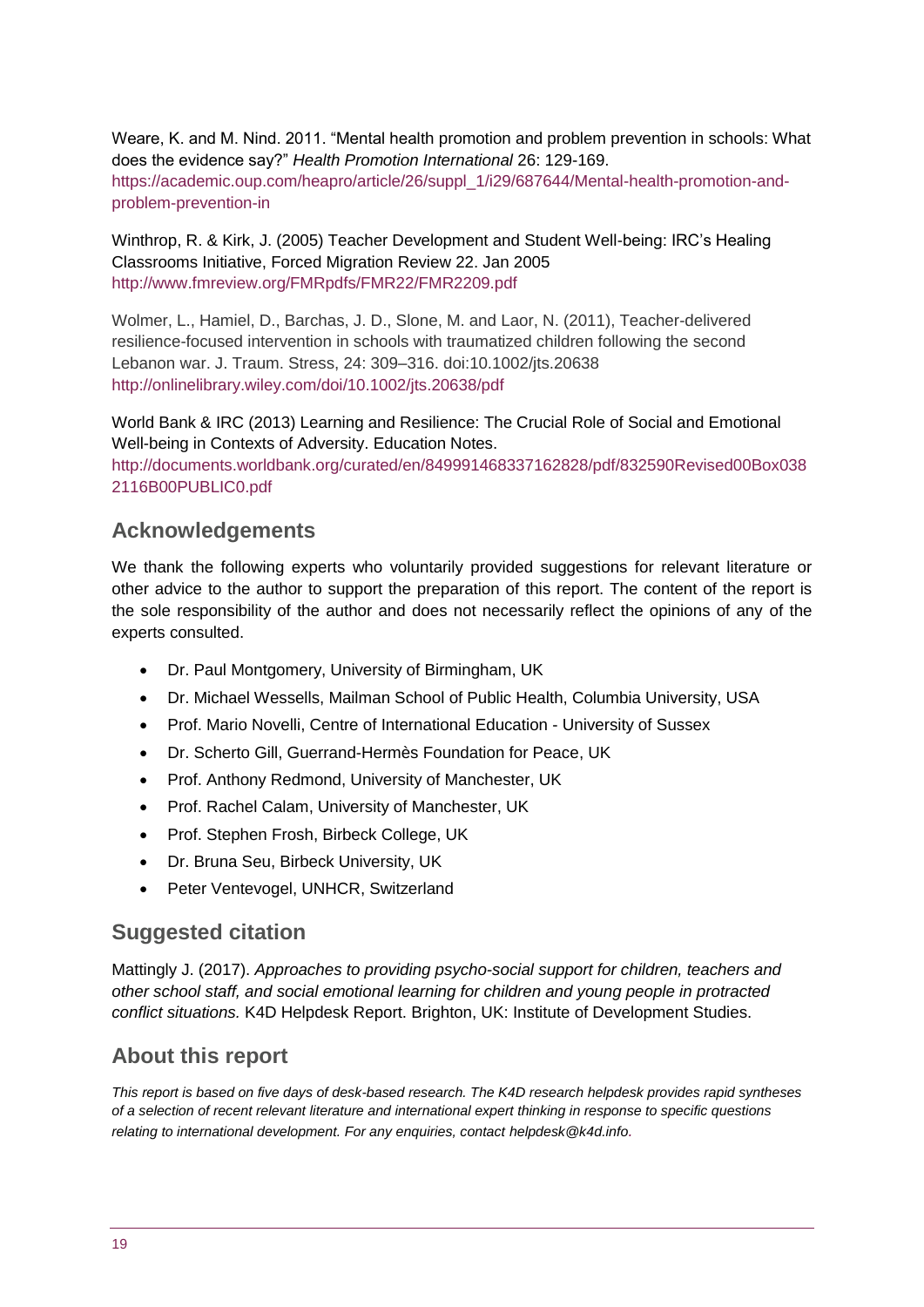Weare, K. and M. Nind. 2011. "Mental health promotion and problem prevention in schools: What does the evidence say?" *Health Promotion International* 26: 129-169. [https://academic.oup.com/heapro/article/26/suppl\\_1/i29/687644/Mental-health-promotion-and](https://academic.oup.com/heapro/article/26/suppl_1/i29/687644/Mental-health-promotion-and-problem-prevention-in)[problem-prevention-in](https://academic.oup.com/heapro/article/26/suppl_1/i29/687644/Mental-health-promotion-and-problem-prevention-in)

Winthrop, R. & Kirk, J. (2005) Teacher Development and Student Well-being: IRC's Healing Classrooms Initiative, Forced Migration Review 22. Jan 2005 <http://www.fmreview.org/FMRpdfs/FMR22/FMR2209.pdf>

Wolmer, L., Hamiel, D., Barchas, J. D., Slone, M. and Laor, N. (2011), Teacher-delivered resilience-focused intervention in schools with traumatized children following the second Lebanon war. J. Traum. Stress, 24: 309–316. doi:10.1002/jts.20638 <http://onlinelibrary.wiley.com/doi/10.1002/jts.20638/pdf>

World Bank & IRC (2013) Learning and Resilience: The Crucial Role of Social and Emotional Well-being in Contexts of Adversity. Education Notes.

[http://documents.worldbank.org/curated/en/849991468337162828/pdf/832590Revised00Box038](http://documents.worldbank.org/curated/en/849991468337162828/pdf/832590Revised00Box0382116B00PUBLIC0.pdf) [2116B00PUBLIC0.pdf](http://documents.worldbank.org/curated/en/849991468337162828/pdf/832590Revised00Box0382116B00PUBLIC0.pdf)

## **Acknowledgements**

We thank the following experts who voluntarily provided suggestions for relevant literature or other advice to the author to support the preparation of this report. The content of the report is the sole responsibility of the author and does not necessarily reflect the opinions of any of the experts consulted.

- Dr. Paul Montgomery, University of Birmingham, UK
- Dr. Michael Wessells, Mailman School of Public Health, Columbia University, USA
- Prof. Mario Novelli, Centre of International Education University of Sussex
- Dr. Scherto Gill, Guerrand-Hermès Foundation for Peace, UK
- Prof. Anthony Redmond, University of Manchester, UK
- Prof. Rachel Calam, University of Manchester, UK
- Prof. Stephen Frosh, Birbeck College, UK
- Dr. Bruna Seu, Birbeck University, UK
- Peter Ventevogel, UNHCR, Switzerland

## **Suggested citation**

Mattingly J. (2017). *Approaches to providing psycho-social support for children, teachers and other school staff, and social emotional learning for children and young people in protracted conflict situations.* K4D Helpdesk Report. Brighton, UK: Institute of Development Studies.

## **About this report**

*This report is based on five days of desk-based research. The K4D research helpdesk provides rapid syntheses of a selection of recent relevant literature and international expert thinking in response to specific questions relating to international development. For any enquiries, contact helpdesk@k4d.info.*